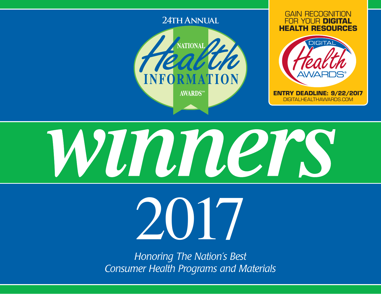



2017

*Honoring The Nation's Best Consumer Health Programs and Materials*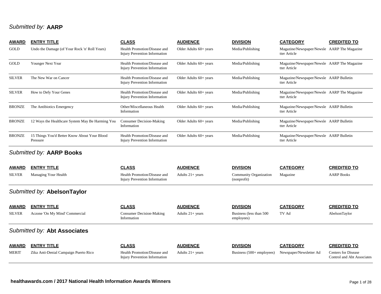## *Submitted by:* **AARP**

| <b>AWARD</b>  | <b>ENTRY TITLE</b>                                       | <b>CLASS</b>                                                         | <b>AUDIENCE</b>          | <b>DIVISION</b>  | <b>CATEGORY</b>                                             | <b>CREDITED TO</b> |
|---------------|----------------------------------------------------------|----------------------------------------------------------------------|--------------------------|------------------|-------------------------------------------------------------|--------------------|
| GOLD          | Undo the Damage (of Your Rock 'n' Roll Years)            | Health Promotion/Disease and<br><b>Injury Prevention Information</b> | Older Adults $60+$ years | Media/Publishing | Magazine/Newspaper/Newsle AARP The Magazine<br>tter Article |                    |
| GOLD          | Younger Next Year                                        | Health Promotion/Disease and<br><b>Injury Prevention Information</b> | Older Adults $60+$ years | Media/Publishing | Magazine/Newspaper/Newsle AARP The Magazine<br>tter Article |                    |
| <b>SILVER</b> | The New War on Cancer                                    | Health Promotion/Disease and<br><b>Injury Prevention Information</b> | Older Adults $60+$ years | Media/Publishing | Magazine/Newspaper/Newsle AARP Bulletin<br>tter Article     |                    |
| <b>SILVER</b> | How to Defy Your Genes                                   | Health Promotion/Disease and<br>Injury Prevention Information        | Older Adults $60+$ years | Media/Publishing | Magazine/Newspaper/Newsle AARP The Magazine<br>tter Article |                    |
| <b>BRONZE</b> | The Antibiotics Emergency                                | Other/Miscellaneous Health<br>Information                            | Older Adults $60+$ years | Media/Publishing | Magazine/Newspaper/Newsle AARP Bulletin<br>tter Article     |                    |
| <b>BRONZE</b> | 12 Ways the Healthcare System May Be Harming You         | <b>Consumer Decision-Making</b><br>Information                       | Older Adults $60+$ years | Media/Publishing | Magazine/Newspaper/Newsle AARP Bulletin<br>tter Article     |                    |
| <b>BRONZE</b> | 15 Things You'd Better Know About Your Blood<br>Pressure | Health Promotion/Disease and<br><b>Injury Prevention Information</b> | Older Adults $60+$ years | Media/Publishing | Magazine/Newspaper/Newsle AARP Bulletin<br>tter Article     |                    |

### *Submitted by:* **AARP Books**

| AWARD<br><b>SILVER</b> | <b>ENTRY TITLE</b><br>Managing Your Health | <b>CLASS</b><br>Health Promotion/Disease and<br>Injury Prevention Information | <b>AUDIENCE</b><br>Adults $21+$ years | <b>DIVISION</b><br>Community Organization<br>(nonprofit) | <b>CATEGORY</b><br>Magazine | <b>CREDITED TO</b><br><b>AARP</b> Books                  |
|------------------------|--------------------------------------------|-------------------------------------------------------------------------------|---------------------------------------|----------------------------------------------------------|-----------------------------|----------------------------------------------------------|
|                        | Submitted by: AbelsonTaylor                |                                                                               |                                       |                                                          |                             |                                                          |
| <b>AWARD</b>           | <b>ENTRY TITLE</b>                         | <b>CLASS</b>                                                                  | <b>AUDIENCE</b>                       | <b>DIVISION</b>                                          | <b>CATEGORY</b>             | <b>CREDITED TO</b>                                       |
| <b>SILVER</b>          | Aczone 'On My Mind' Commercial             | <b>Consumer Decision-Making</b><br>Information                                | Adults $21+$ years                    | Business (less than 500)<br>employees)                   | TV Ad                       | AbelsonTaylor                                            |
|                        | Submitted by: Abt Associates               |                                                                               |                                       |                                                          |                             |                                                          |
| <b>AWARD</b>           | <b>ENTRY TITLE</b>                         | <b>CLASS</b>                                                                  | <b>AUDIENCE</b>                       | <b>DIVISION</b>                                          | <b>CATEGORY</b>             | <b>CREDITED TO</b>                                       |
| <b>MERIT</b>           | Zika Anti-Denial Campaign Puerto Rico      | Health Promotion/Disease and<br><b>Injury Prevention Information</b>          | Adults $21+$ years                    | Business $(500+$ employees)                              | Newspaper/Newsletter Ad     | <b>Centers for Disease</b><br>Control and Abt Associates |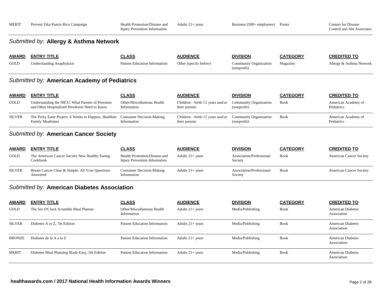| <b>MERIT</b>  | Prevent Zika Puerto Rico Campaign                                                                | Health Promotion/Disease and<br><b>Injury Prevention Information</b> | Adults $21+$ years                              | Business $(500 + \text{employee})$           | Poster          | <b>Centers for Disease</b><br>Control and Abt Associates |
|---------------|--------------------------------------------------------------------------------------------------|----------------------------------------------------------------------|-------------------------------------------------|----------------------------------------------|-----------------|----------------------------------------------------------|
|               | Submitted by: Allergy & Asthma Network                                                           |                                                                      |                                                 |                                              |                 |                                                          |
| <u>AWARD</u>  | <b>ENTRY TITLE</b>                                                                               | <b>CLASS</b>                                                         | <b>AUDIENCE</b>                                 | <b>DIVISION</b>                              | <b>CATEGORY</b> | <b>CREDITED TO</b>                                       |
| GOLD          | <b>Understanding Anaphylaxis</b>                                                                 | <b>Patient Education Information</b>                                 | Other (specify below)                           | Community Organization<br>(nonprofit)        | Magazine        | Allergy & Asthma Network                                 |
|               | Submitted by: American Academy of Pediatrics                                                     |                                                                      |                                                 |                                              |                 |                                                          |
| <u>AWARD</u>  | <b>ENTRY TITLE</b>                                                                               | <b>CLASS</b>                                                         | <b>AUDIENCE</b>                                 | <b>DIVISION</b>                              | <b>CATEGORY</b> | <b>CREDITED TO</b>                                       |
| GOLD          | Understanding the NICU: What Parents of Preemies<br>and Other Hospitalized Newborns Need to Know | Other/Miscellaneous Health<br>Information                            | Children-birth-12 years and/or<br>their parents | Community Organization<br>(nonprofit)        | <b>Book</b>     | American Academy of<br>Pediatrics                        |
| SILVER        | The Picky Eater Project: 6 Weeks to Happier, Healthier<br><b>Family Mealtimes</b>                | <b>Consumer Decision-Making</b><br>Information                       | Children-birth-12 years and/or<br>their parents | <b>Community Organization</b><br>(nonprofit) | <b>Book</b>     | American Academy of<br>Pediatrics                        |
|               | Submitted by: American Cancer Society                                                            |                                                                      |                                                 |                                              |                 |                                                          |
| <u>AWARD</u>  | <b>ENTRY TITLE</b>                                                                               | <b>CLASS</b>                                                         | <b>AUDIENCE</b>                                 | <b>DIVISION</b>                              | <b>CATEGORY</b> | <b>CREDITED TO</b>                                       |
| GOLD          | The American Cancer Society New Healthy Eating<br>Cookbook                                       | Health Promotion/Disease and<br>Injury Prevention Information        | Adults $21+$ years                              | Association/Professional<br>Society          | <b>Book</b>     | <b>American Cancer Society</b>                           |
| <b>SILVER</b> | Breast Cancer Clear & Simple: All Your Questions<br>Answered                                     | <b>Consumer Decision-Making</b><br>Information                       | Adults $21+$ years                              | Association/Professional<br>Society          | <b>Book</b>     | <b>American Cancer Society</b>                           |
|               | Submitted by: American Diabetes Association                                                      |                                                                      |                                                 |                                              |                 |                                                          |
| <u>AWARD</u>  | <b>ENTRY TITLE</b>                                                                               | <b>CLASS</b>                                                         | <b>AUDIENCE</b>                                 | <b>DIVISION</b>                              | <b>CATEGORY</b> | <b>CREDITED TO</b>                                       |
| GOLD          | The Six O'Clock Scramble Meal Planner                                                            | Other/Miscellaneous Health<br>Information                            | Adults $21+$ years                              | Media/Publishing                             | Book            | <b>American Diabetes</b><br>Association                  |

SILVER Diabetes A to Z, 7th Edition Patient Education Information Adults 21+ years Media/Publishing Book American Diabetes

BRONZE Diabetes de la A a la Z Patient Education Information Adults 21+ years Media/Publishing Book American Diabetes

MERIT Diabetes Meal Planning Made Easy, 5th Edition Patient Education Information Adults 21+ years Media/Publishing Book American Diabetes

Association

Association

Association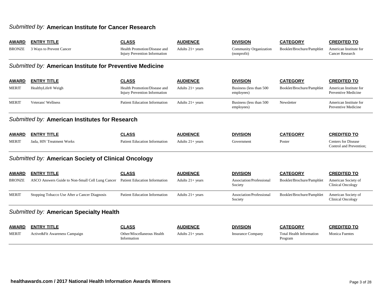### *Submitted by:* **American Institute for Cancer Research**

| <b>AWARD</b>                            | <b>ENTRY TITLE</b>                                       | <b>CLASS</b>                                                         | <b>AUDIENCE</b>    | <b>DIVISION</b>                              | <b>CATEGORY</b>                            | <b>CREDITED TO</b>                                    |  |  |  |
|-----------------------------------------|----------------------------------------------------------|----------------------------------------------------------------------|--------------------|----------------------------------------------|--------------------------------------------|-------------------------------------------------------|--|--|--|
| <b>BRONZE</b>                           | 3 Ways to Prevent Cancer                                 | Health Promotion/Disease and<br><b>Injury Prevention Information</b> | Adults $21+$ years | <b>Community Organization</b><br>(nonprofit) | Booklet/Brochure/Pamphlet                  | American Institute for<br><b>Cancer Research</b>      |  |  |  |
|                                         | Submitted by: American Institute for Preventive Medicine |                                                                      |                    |                                              |                                            |                                                       |  |  |  |
| <b>AWARD</b>                            | <b>ENTRY TITLE</b>                                       | <b>CLASS</b>                                                         | <b>AUDIENCE</b>    | <b>DIVISION</b>                              | <b>CATEGORY</b>                            | <b>CREDITED TO</b>                                    |  |  |  |
| <b>MERIT</b>                            | HealthyLife <sup>®</sup> Weigh                           | Health Promotion/Disease and<br>Injury Prevention Information        | Adults $21+$ years | Business (less than 500<br>employees)        | Booklet/Brochure/Pamphlet                  | American Institute for<br>Preventive Medicine         |  |  |  |
| <b>MERIT</b>                            | Veterans' Wellness                                       | <b>Patient Education Information</b>                                 | Adults $21+$ years | Business (less than 500<br>employees)        | Newsletter                                 | American Institute for<br>Preventive Medicine         |  |  |  |
|                                         | Submitted by: American Institutes for Research           |                                                                      |                    |                                              |                                            |                                                       |  |  |  |
| <b>AWARD</b>                            | <b>ENTRY TITLE</b>                                       | <b>CLASS</b>                                                         | <b>AUDIENCE</b>    | <b>DIVISION</b>                              | <b>CATEGORY</b>                            | <b>CREDITED TO</b>                                    |  |  |  |
| <b>MERIT</b>                            | Jada, HIV Treatment Works                                | <b>Patient Education Information</b>                                 | Adults $21+$ years | Government                                   | Poster                                     | <b>Centers for Disease</b><br>Control and Prevention; |  |  |  |
|                                         | Submitted by: American Society of Clinical Oncology      |                                                                      |                    |                                              |                                            |                                                       |  |  |  |
| <b>AWARD</b>                            | <b>ENTRY TITLE</b>                                       | <b>CLASS</b>                                                         | <b>AUDIENCE</b>    | <b>DIVISION</b>                              | <b>CATEGORY</b>                            | <b>CREDITED TO</b>                                    |  |  |  |
| <b>BRONZE</b>                           | ASCO Answers Guide to Non-Small Cell Lung Cancer         | Patient Education Information                                        | Adults $21+$ years | Association/Professional<br>Society          | Booklet/Brochure/Pamphlet                  | American Society of<br><b>Clinical Oncology</b>       |  |  |  |
| <b>MERIT</b>                            | Stopping Tobacco Use After a Cancer Diagnosis            | <b>Patient Education Information</b>                                 | Adults 21+ years   | Association/Professional<br>Society          | Booklet/Brochure/Pamphlet                  | American Society of<br><b>Clinical Oncology</b>       |  |  |  |
| Submitted by: American Specialty Health |                                                          |                                                                      |                    |                                              |                                            |                                                       |  |  |  |
| <b>AWARD</b>                            | <b>ENTRY TITLE</b>                                       | <b>CLASS</b>                                                         | <b>AUDIENCE</b>    | <b>DIVISION</b>                              | <b>CATEGORY</b>                            | <b>CREDITED TO</b>                                    |  |  |  |
| <b>MERIT</b>                            | Active&Fit Awareness Campaign                            | Other/Miscellaneous Health<br>Information                            | Adults $21+$ years | <b>Insurance Company</b>                     | <b>Total Health Information</b><br>Program | <b>Monica Fuentes</b>                                 |  |  |  |
|                                         |                                                          |                                                                      |                    |                                              |                                            |                                                       |  |  |  |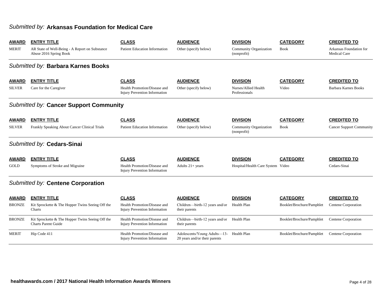### *Submitted by:* **Arkansas Foundation for Medical Care**

| <b>AWARD</b>  | <b>ENTRY TITLE</b>                                                             | <b>CLASS</b>                                                         | <b>AUDIENCE</b>                                                           | <b>DIVISION</b>                       | <b>CATEGORY</b><br><b>Book</b> | <b>CREDITED TO</b>                             |
|---------------|--------------------------------------------------------------------------------|----------------------------------------------------------------------|---------------------------------------------------------------------------|---------------------------------------|--------------------------------|------------------------------------------------|
| <b>MERIT</b>  | AR State of Well-Being - A Report on Substance<br>Abuse 2016 Spring Book       | Patient Education Information                                        | Other (specify below)                                                     | Community Organization<br>(nonprofit) |                                | Arkansas Foundation for<br><b>Medical Care</b> |
|               | Submitted by: Barbara Karnes Books                                             |                                                                      |                                                                           |                                       |                                |                                                |
| <b>AWARD</b>  | <b>ENTRY TITLE</b>                                                             | <b>CLASS</b>                                                         | <b>AUDIENCE</b>                                                           | <b>DIVISION</b>                       | <b>CATEGORY</b>                | <b>CREDITED TO</b>                             |
| <b>SILVER</b> | Care for the Caregiver                                                         | Health Promotion/Disease and<br><b>Injury Prevention Information</b> | Other (specify below)                                                     | Nurses/Allied Health<br>Professionals | Video                          | <b>Barbara Karnes Books</b>                    |
|               | Submitted by: Cancer Support Community                                         |                                                                      |                                                                           |                                       |                                |                                                |
| <b>AWARD</b>  | <b>ENTRY TITLE</b>                                                             | <b>CLASS</b>                                                         | <b>AUDIENCE</b>                                                           | <b>DIVISION</b>                       | <b>CATEGORY</b>                | <b>CREDITED TO</b>                             |
| <b>SILVER</b> | Frankly Speaking About Cancer Clinical Trials                                  | <b>Patient Education Information</b>                                 | Other (specify below)                                                     | Community Organization<br>(nonprofit) | <b>Book</b>                    | <b>Cancer Support Community</b>                |
|               | Submitted by: Cedars-Sinai                                                     |                                                                      |                                                                           |                                       |                                |                                                |
| <b>AWARD</b>  | <b>ENTRY TITLE</b>                                                             | <b>CLASS</b>                                                         | <b>AUDIENCE</b>                                                           | <b>DIVISION</b>                       | <b>CATEGORY</b>                | <b>CREDITED TO</b>                             |
| GOLD          | Symptoms of Stroke and Migraine                                                | Health Promotion/Disease and<br>Injury Prevention Information        | Adults $21+$ years                                                        | Hospital/Health Care System Video     |                                | Cedars-Sinai                                   |
|               | Submitted by: Centene Corporation                                              |                                                                      |                                                                           |                                       |                                |                                                |
| <b>AWARD</b>  | <b>ENTRY TITLE</b>                                                             | <b>CLASS</b>                                                         | <b>AUDIENCE</b>                                                           | <b>DIVISION</b>                       | <b>CATEGORY</b>                | <b>CREDITED TO</b>                             |
| <b>BRONZE</b> | Kit Sprockette & The Hopper Twins Seeing Off the<br>Charts                     | Health Promotion/Disease and<br><b>Injury Prevention Information</b> | Children-birth-12 years and/or<br>their parents                           | Health Plan                           | Booklet/Brochure/Pamphlet      | Centene Corporation                            |
| <b>BRONZE</b> | Kit Sprockette & The Hopper Twins Seeing Off the<br><b>Charts Parent Guide</b> | Health Promotion/Disease and<br>Injury Prevention Information        | Children-birth-12 years and/or Health Plan<br>their parents               |                                       | Booklet/Brochure/Pamphlet      | Centene Corporation                            |
| <b>MERIT</b>  | Hip Code 411                                                                   | Health Promotion/Disease and<br><b>Injury Prevention Information</b> | Adolescents/Young Adults-13- Health Plan<br>20 years and/or their parents |                                       | Booklet/Brochure/Pamphlet      | Centene Corporation                            |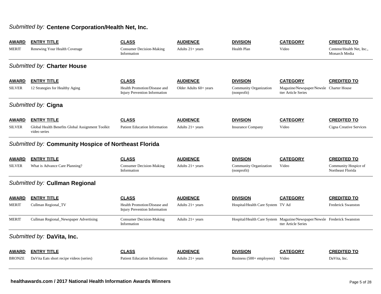## *Submitted by:* **Centene Corporation/Health Net, Inc.**

| <b>AWARD</b><br><b>MERIT</b>  | <b>ENTRY TITLE</b><br>Renewing Your Health Coverage                                    | <b>CLASS</b><br><b>Consumer Decision-Making</b><br>Information                | <b>AUDIENCE</b><br>Adults $21+$ years     | <b>DIVISION</b><br><b>Health Plan</b>                           | <b>CATEGORY</b><br>Video                                                                        | <b>CREDITED TO</b><br>Centene/Health Net, Inc.,<br>Monarch Media |  |  |  |  |
|-------------------------------|----------------------------------------------------------------------------------------|-------------------------------------------------------------------------------|-------------------------------------------|-----------------------------------------------------------------|-------------------------------------------------------------------------------------------------|------------------------------------------------------------------|--|--|--|--|
|                               | Submitted by: Charter House                                                            |                                                                               |                                           |                                                                 |                                                                                                 |                                                                  |  |  |  |  |
| <b>AWARD</b><br><b>SILVER</b> | <b>ENTRY TITLE</b><br>12 Strategies for Healthy Aging                                  | <b>CLASS</b><br>Health Promotion/Disease and<br>Injury Prevention Information | <b>AUDIENCE</b><br>Older Adults 60+ years | <b>DIVISION</b><br><b>Community Organization</b><br>(nonprofit) | <b>CATEGORY</b><br>Magazine/Newspaper/Newsle Charter House<br>tter Article Series               | <b>CREDITED TO</b>                                               |  |  |  |  |
|                               | Submitted by: Cigna                                                                    |                                                                               |                                           |                                                                 |                                                                                                 |                                                                  |  |  |  |  |
| <b>AWARD</b><br><b>SILVER</b> | <b>ENTRY TITLE</b><br>Global Health Benefits Global Assignment Toolkit<br>video series | <b>CLASS</b><br><b>Patient Education Information</b>                          | <b>AUDIENCE</b><br>Adults $21+$ years     | <b>DIVISION</b><br><b>Insurance Company</b>                     | <b>CATEGORY</b><br>Video                                                                        | <b>CREDITED TO</b><br>Cigna Creative Services                    |  |  |  |  |
|                               | Submitted by: Community Hospice of Northeast Florida                                   |                                                                               |                                           |                                                                 |                                                                                                 |                                                                  |  |  |  |  |
| <b>AWARD</b>                  | <b>ENTRY TITLE</b>                                                                     | <b>CLASS</b>                                                                  | <b>AUDIENCE</b>                           | <b>DIVISION</b>                                                 | <b>CATEGORY</b>                                                                                 | <b>CREDITED TO</b>                                               |  |  |  |  |
| <b>SILVER</b>                 | What is Advance Care Planning?                                                         | Consumer Decision-Making<br>Information                                       | Adults $21+ years$                        | Community Organization<br>(nonprofit)                           | Video                                                                                           | Community Hospice of<br>Northeast Florida                        |  |  |  |  |
|                               | Submitted by: Cullman Regional                                                         |                                                                               |                                           |                                                                 |                                                                                                 |                                                                  |  |  |  |  |
| <b>AWARD</b>                  | <b>ENTRY TITLE</b>                                                                     | <b>CLASS</b>                                                                  | <b>AUDIENCE</b>                           | <b>DIVISION</b>                                                 | <b>CATEGORY</b>                                                                                 | <b>CREDITED TO</b>                                               |  |  |  |  |
| <b>MERIT</b>                  | Cullman Regional_TV                                                                    | Health Promotion/Disease and<br>Injury Prevention Information                 | Adults $21+ years$                        | Hospital/Health Care System TV Ad                               |                                                                                                 | <b>Frederick Swanston</b>                                        |  |  |  |  |
| <b>MERIT</b>                  | Cullman Regional_Newspaper Advertising                                                 | <b>Consumer Decision-Making</b><br>Information                                | Adults 21+ years                          |                                                                 | Hospital/Health Care System Magazine/Newspaper/Newsle Frederick Swanston<br>tter Article Series |                                                                  |  |  |  |  |
|                               | Submitted by: DaVita, Inc.                                                             |                                                                               |                                           |                                                                 |                                                                                                 |                                                                  |  |  |  |  |
| <b>AWARD</b>                  | <b>ENTRY TITLE</b>                                                                     | <b>CLASS</b>                                                                  | <b>AUDIENCE</b>                           | <b>DIVISION</b>                                                 | <b>CATEGORY</b>                                                                                 | <b>CREDITED TO</b>                                               |  |  |  |  |
| <b>BRONZE</b>                 | Da Vita Eats short recipe videos (series)                                              | <b>Patient Education Information</b>                                          | Adults $21+$ years                        | Business $(500 +$ employees)                                    | Video                                                                                           | DaVita, Inc.                                                     |  |  |  |  |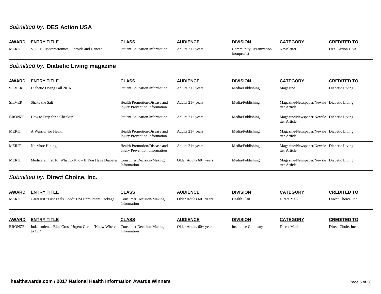## *Submitted by:* **DES Action USA**

| <b>AWARD</b><br><b>MERIT</b> | <b>ENTRY TITLE</b><br>VOICE: Hysterectomies, Fibroids and Cancer | <b>CLASS</b><br>Patient Education Information                        | <b>AUDIENCE</b><br>Adults $21+$ years | <b>DIVISION</b><br><b>Community Organization</b><br>(nonprofit) | <b>CATEGORY</b><br>Newsletter                             | <b>CREDITED TO</b><br><b>DES Action USA</b> |  |  |  |  |  |
|------------------------------|------------------------------------------------------------------|----------------------------------------------------------------------|---------------------------------------|-----------------------------------------------------------------|-----------------------------------------------------------|---------------------------------------------|--|--|--|--|--|
|                              | Submitted by: Diabetic Living magazine                           |                                                                      |                                       |                                                                 |                                                           |                                             |  |  |  |  |  |
| <b>AWARD</b>                 | <b>ENTRY TITLE</b>                                               | <b>CLASS</b>                                                         | <b>AUDIENCE</b>                       | <b>DIVISION</b>                                                 | <b>CATEGORY</b>                                           | <b>CREDITED TO</b>                          |  |  |  |  |  |
| <b>SILVER</b>                | Diabetic Living Fall 2016                                        | Patient Education Information                                        | Adults $21+$ years                    | Media/Publishing                                                | Magazine                                                  | Diabetic Living                             |  |  |  |  |  |
| <b>SILVER</b>                | Shake the Salt                                                   | Health Promotion/Disease and<br><b>Injury Prevention Information</b> | Adults $21+$ years                    | Media/Publishing                                                | Magazine/Newspaper/Newsle Diabetic Living<br>tter Article |                                             |  |  |  |  |  |
| <b>BRONZE</b>                | How to Prep for a Checkup                                        | <b>Patient Education Information</b>                                 | Adults $21+$ years                    | Media/Publishing                                                | Magazine/Newspaper/Newsle Diabetic Living<br>tter Article |                                             |  |  |  |  |  |
| <b>MERIT</b>                 | A Warrior for Health                                             | Health Promotion/Disease and<br><b>Injury Prevention Information</b> | Adults $21+$ years                    | Media/Publishing                                                | Magazine/Newspaper/Newsle Diabetic Living<br>tter Article |                                             |  |  |  |  |  |
| <b>MERIT</b>                 | No More Hiding                                                   | Health Promotion/Disease and<br><b>Injury Prevention Information</b> | Adults $21+$ years                    | Media/Publishing                                                | Magazine/Newspaper/Newsle Diabetic Living<br>tter Article |                                             |  |  |  |  |  |
| <b>MERIT</b>                 | Medicare in 2016: What to Know If You Have Diabetes              | <b>Consumer Decision-Making</b><br>Information                       | Older Adults 60+ years                | Media/Publishing                                                | Magazine/Newspaper/Newsle Diabetic Living<br>tter Article |                                             |  |  |  |  |  |
|                              | Submitted by: Direct Choice, Inc.                                |                                                                      |                                       |                                                                 |                                                           |                                             |  |  |  |  |  |
| <b>AWARD</b>                 | <b>ENTRY TITLE</b>                                               | <b>CLASS</b>                                                         | <b>AUDIENCE</b>                       | <b>DIVISION</b>                                                 | <b>CATEGORY</b>                                           | <b>CREDITED TO</b>                          |  |  |  |  |  |

| <b>MERIT</b> | CareFirst "First Feels Good" DM Enrollment Package           | <b>Consumer Decision-Making</b><br>Information | Older Adults 60+ years   | Health Plan              | Direct Mail     | Direct Choice, Inc. |
|--------------|--------------------------------------------------------------|------------------------------------------------|--------------------------|--------------------------|-----------------|---------------------|
| <b>AWARD</b> | <b>ENTRY TITLE</b>                                           | <b>CLASS</b>                                   | <b>AUDIENCE</b>          | <b>DIVISION</b>          | <b>CATEGORY</b> | <b>CREDITED TO</b>  |
| BRONZE       | Independence Blue Cross Urgent Care - "Know Where"<br>to Go" | <b>Consumer Decision-Making</b><br>Information | Older Adults $60+$ years | <b>Insurance Company</b> | Direct Mail     | Direct Choie, Inc.  |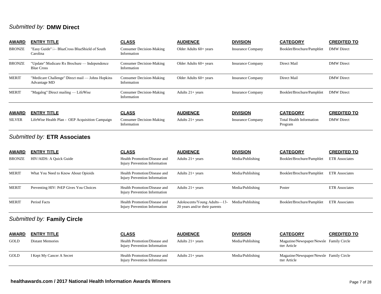# *Submitted by:* **DMW Direct**

| <b>AWARD</b>  | <b>ENTRY TITLE</b>                                                | <b>CLASS</b>                                                         | <b>AUDIENCE</b>        | <b>DIVISION</b>          | <b>CATEGORY</b>                            | <b>CREDITED TO</b>    |
|---------------|-------------------------------------------------------------------|----------------------------------------------------------------------|------------------------|--------------------------|--------------------------------------------|-----------------------|
| <b>BRONZE</b> | "Easy Guide" - BlueCross BlueShield of South<br>Carolina          | <b>Consumer Decision-Making</b><br>Information                       | Older Adults 60+ years | <b>Insurance Company</b> | Booklet/Brochure/Pamphlet                  | <b>DMW</b> Direct     |
| <b>BRONZE</b> | "Update" Medicare Rx Brochure — Independence<br><b>Blue Cross</b> | <b>Consumer Decision-Making</b><br>Information                       | Older Adults 60+ years | <b>Insurance Company</b> | Direct Mail                                | <b>DMW</b> Direct     |
| <b>MERIT</b>  | "Medicare Challenge" Direct mail — Johns Hopkins<br>Advantage MD  | <b>Consumer Decision-Making</b><br>Information                       | Older Adults 60+ years | <b>Insurance Company</b> | Direct Mail                                | <b>DMW</b> Direct     |
| <b>MERIT</b>  | "Magalog" Direct mailing — LifeWise                               | <b>Consumer Decision-Making</b><br>Information                       | Adults $21+$ years     | <b>Insurance Company</b> | Booklet/Brochure/Pamphlet                  | <b>DMW</b> Direct     |
| <u>AWARD</u>  | <b>ENTRY TITLE</b>                                                | <b>CLASS</b>                                                         | <b>AUDIENCE</b>        | <b>DIVISION</b>          | <b>CATEGORY</b>                            | <b>CREDITED TO</b>    |
| <b>SILVER</b> | LifeWise Health Plan - OEP Acquisition Campaign                   | <b>Consumer Decision-Making</b><br>Information                       | Adults $21+$ years     | <b>Insurance Company</b> | <b>Total Health Information</b><br>Program | <b>DMW</b> Direct     |
|               | Submitted by: ETR Associates                                      |                                                                      |                        |                          |                                            |                       |
| <b>AWARD</b>  | <b>ENTRY TITLE</b>                                                | <b>CLASS</b>                                                         | <b>AUDIENCE</b>        | <b>DIVISION</b>          | <b>CATEGORY</b>                            | <b>CREDITED TO</b>    |
| <b>BRONZE</b> | HIV/AIDS: A Quick Guide                                           | Health Promotion/Disease and<br><b>Injury Prevention Information</b> | Adults $21+$ years     | Media/Publishing         | Booklet/Brochure/Pamphlet                  | <b>ETR</b> Associates |
| <b>MERIT</b>  | What You Need to Know About Opioids                               | Health Promotion/Disease and                                         | Adults $21+$ years     | Media/Publishing         | Booklet/Brochure/Pamphlet                  | <b>ETR</b> Associates |

| <b>AWARD</b>  | <b>ENTRY TITLE</b>                     | <b>CLASS</b>                                                  | <b>AUDIENCE</b>                                               | <b>DIVISION</b>  | <b>CATEGORY</b>           | <b>CREDITED TO</b>    |
|---------------|----------------------------------------|---------------------------------------------------------------|---------------------------------------------------------------|------------------|---------------------------|-----------------------|
| <b>BRONZE</b> | HIV/AIDS: A Quick Guide                | Health Promotion/Disease and<br>Injury Prevention Information | Adults $21+$ years                                            | Media/Publishing | Booklet/Brochure/Pamphlet | <b>ETR</b> Associates |
| <b>MERIT</b>  | What You Need to Know About Opioids    | Health Promotion/Disease and<br>Injury Prevention Information | Adults $21+$ years                                            | Media/Publishing | Booklet/Brochure/Pamphlet | <b>ETR</b> Associates |
| <b>MERIT</b>  | Preventing HIV: PrEP Gives You Choices | Health Promotion/Disease and<br>Injury Prevention Information | Adults $21+$ years                                            | Media/Publishing | Poster                    | <b>ETR</b> Associates |
| <b>MERIT</b>  | Period Facts                           | Health Promotion/Disease and<br>Injury Prevention Information | Adolescents/Young Adults—13-<br>20 years and/or their parents | Media/Publishing | Booklet/Brochure/Pamphlet | <b>ETR</b> Associates |

## *Submitted by:* **Family Circle**

| <b>AWARD</b> | <b>ENTRY TITLE</b>        | <b>CLASS</b>                                                  | <b>AUDIENCE</b>    | <b>DIVISION</b>  | <b>CATEGORY</b>                                         | <b>CREDITED TO</b> |
|--------------|---------------------------|---------------------------------------------------------------|--------------------|------------------|---------------------------------------------------------|--------------------|
| <b>GOLD</b>  | <b>Distant Memories</b>   | Health Promotion/Disease and<br>Injury Prevention Information | Adults $21+$ years | Media/Publishing | Magazine/Newspaper/Newsle Family Circle<br>tter Article |                    |
| <b>GOLD</b>  | I Kept My Cancer A Secret | Health Promotion/Disease and<br>Injury Prevention Information | Adults $21+$ years | Media/Publishing | Magazine/Newspaper/Newsle Family Circle<br>tter Article |                    |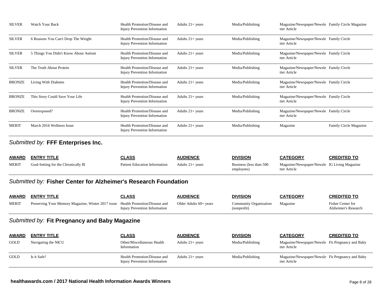| <b>SILVER</b> | Watch Your Back                       | Health Promotion/Disease and<br>Injury Prevention Information        | Adults $21+$ years | Media/Publishing | Magazine/Newspaper/Newsle Family Circle Magazine<br>tter Article |                               |
|---------------|---------------------------------------|----------------------------------------------------------------------|--------------------|------------------|------------------------------------------------------------------|-------------------------------|
| <b>SILVER</b> | 6 Reasons You Can't Drop The Weight   | Health Promotion/Disease and<br>Injury Prevention Information        | Adults $21+$ years | Media/Publishing | Magazine/Newspaper/Newsle Family Circle<br>tter Article          |                               |
| <b>SILVER</b> | 5 Things You Didn't Know About Autism | Health Promotion/Disease and<br>Injury Prevention Information        | Adults $21+$ years | Media/Publishing | Magazine/Newspaper/Newsle Family Circle<br>tter Article          |                               |
| <b>SILVER</b> | The Truth About Protein               | Health Promotion/Disease and<br>Injury Prevention Information        | Adults $21+$ years | Media/Publishing | Magazine/Newspaper/Newsle Family Circle<br>tter Article          |                               |
| <b>BRONZE</b> | Living With Diabetes                  | Health Promotion/Disease and<br><b>Injury Prevention Information</b> | Adults $21+$ years | Media/Publishing | Magazine/Newspaper/Newsle Family Circle<br>tter Article          |                               |
| <b>BRONZE</b> | This Story Could Save Your Life       | Health Promotion/Disease and<br>Injury Prevention Information        | Adults $21+$ years | Media/Publishing | Magazine/Newspaper/Newsle Family Circle<br>tter Article          |                               |
| <b>BRONZE</b> | Overexposed?                          | Health Promotion/Disease and<br><b>Injury Prevention Information</b> | Adults $21+$ years | Media/Publishing | Magazine/Newspaper/Newsle Family Circle<br>tter Article          |                               |
| <b>MERIT</b>  | March 2016 Wellness Issue             | Health Promotion/Disease and<br>Injury Prevention Information        | Adults $21+$ years | Media/Publishing | Magazine                                                         | <b>Family Circle Magazine</b> |

### *Submitted by:* **FFF Enterprises Inc.**

| <b>AWARD</b> | <b>ENTRY TITLE</b>                   | <b>CLASS</b>                         | <b>AUDIENCE</b>    | <b>DIVISION</b>                        | <b>CATEGORY</b>                                              | CREDITED TO |
|--------------|--------------------------------------|--------------------------------------|--------------------|----------------------------------------|--------------------------------------------------------------|-------------|
| <b>MERIT</b> | Goal-Setting for the Chronically Ill | <b>Patient Education Information</b> | Adults $21+$ years | Business (less than 500)<br>employees) | Magazine/Newspaper/Newsle IG Living Magazine<br>tter Article |             |

### *Submitted by:* **Fisher Center for Alzheimer's Research Foundation**

| <b>AWARD</b> | <b>ENTRY TITLE</b>                                                              | CLASS                         | <b>AUDIENCE</b>        | <b>DIVISION</b>                       | <b>CATEGORY</b> | <b>CREDITED TO</b>                               |
|--------------|---------------------------------------------------------------------------------|-------------------------------|------------------------|---------------------------------------|-----------------|--------------------------------------------------|
| <b>MERIT</b> | Preserving Your Memory Magazine, Winter 2017 issue Health Promotion/Disease and | Injury Prevention Information | Older Adults 60+ years | Community Organization<br>(nonprofit) | Magazine        | <b>Fisher Center for</b><br>Alzheimer's Research |

## *Submitted by:* **Fit Pregnancy and Baby Magazine**

| <b>AWARD</b> | <b>ENTRY TITLE</b>  | <u>CLASS</u>                                                  | <b>AUDIENCE</b>    | <b>DIVISION</b>  | <b>CATEGORY</b>                                                  | <b>CREDITED TO</b> |
|--------------|---------------------|---------------------------------------------------------------|--------------------|------------------|------------------------------------------------------------------|--------------------|
| <b>GOLD</b>  | Navigating the NICU | Other/Miscellaneous Health<br>Information                     | Adults $21+$ years | Media/Publishing | Magazine/Newspaper/Newsle Fit Pregnancy and Baby<br>tter Article |                    |
| <b>GOLD</b>  | Is it Safe?         | Health Promotion/Disease and<br>Injury Prevention Information | Adults $21+$ years | Media/Publishing | Magazine/Newspaper/Newsle Fit Pregnancy and Baby<br>tter Article |                    |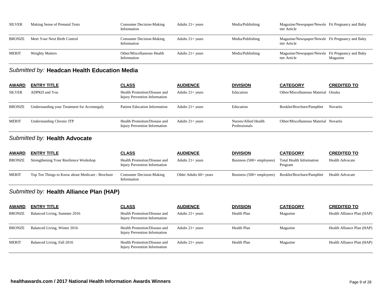| <b>SILVER</b> | Making Sense of Prenatal Tests | <b>Consumer Decision-Making</b><br>Information | Adults $21+$ years | Media/Publishing | Magazine/Newspaper/Newsle Fit Pregnancy and Baby<br>tter Article |          |
|---------------|--------------------------------|------------------------------------------------|--------------------|------------------|------------------------------------------------------------------|----------|
| <b>BRONZE</b> | Meet Your Next Birth Control   | Consumer Decision-Making<br>Information        | Adults $21+$ years | Media/Publishing | Magazine/Newspaper/Newsle Fit Pregnancy and Baby<br>tter Article |          |
| <b>MERIT</b>  | <b>Weighty Matters</b>         | Other/Miscellaneous Health<br>Information      | Adults $21+$ vears | Media/Publishing | Magazine/Newspaper/Newsle Fit Pregnancy and Baby<br>tter Article | Magazine |

## *Submitted by:* **Headcan Health Education Media**

| <b>AWARD</b>  | <b>ENTRY TITLE</b>                          | <u>CLASS</u>                                                  | <b>AUDIENCE</b>    | <b>DIVISION</b>                       | <b>CATEGORY</b>                       | <b>CREDITED TO</b> |
|---------------|---------------------------------------------|---------------------------------------------------------------|--------------------|---------------------------------------|---------------------------------------|--------------------|
| <b>SILVER</b> | ADPKD and You                               | Health Promotion/Disease and<br>Injury Prevention Information | Adults $21+$ years | Education                             | Other/Miscellaneous Material Otsuka   |                    |
| <b>BRONZE</b> | Understanding your Treatment for Acromegaly | <b>Patient Education Information</b>                          | Adults $21+$ years | Education                             | Booklet/Brochure/Pamphlet             | <b>Novartis</b>    |
| <b>MERIT</b>  | Understanding Chronic ITP                   | Health Promotion/Disease and<br>Injury Prevention Information | Adults $21+$ years | Nurses/Allied Health<br>Professionals | Other/Miscellaneous Material Novartis |                    |

## *Submitted by:* **Health Advocate**

| <b>AWARD</b>  | <b>ENTRY TITLE</b>                               | <u>CLASS</u>                                                  | <b>AUDIENCE</b>          | <b>DIVISION</b>                    | <b>CATEGORY</b>                     | <b>CREDITED TO</b>     |
|---------------|--------------------------------------------------|---------------------------------------------------------------|--------------------------|------------------------------------|-------------------------------------|------------------------|
| <b>BRONZE</b> | Strengthening Your Resilience Workshop           | Health Promotion/Disease and<br>Injury Prevention Information | Adults $21+$ years       | Business $(500 + \text{employee})$ | Total Health Information<br>Program | <b>Health Advocate</b> |
| <b>MERIT</b>  | Top Ten Things to Know about Medicare - Brochure | <b>Consumer Decision-Making</b><br>Information                | Older Adults $60+$ years | Business $(500 + \text{employee})$ | Booklet/Brochure/Pamphlet           | <b>Health Advocate</b> |

## *Submitted by:* **Health Alliance Plan (HAP)**

| <b>AWARD</b>  | <u>ENTRY TITLE</u>           | <b>CLASS</b>                                                  | <b>AUDIENCE</b>    | <b>DIVISION</b> | <b>CATEGORY</b> | <b>CREDITED TO</b>         |
|---------------|------------------------------|---------------------------------------------------------------|--------------------|-----------------|-----------------|----------------------------|
| <b>BRONZE</b> | Balanced Living, Summer 2016 | Health Promotion/Disease and<br>Injury Prevention Information | Adults $21+$ years | Health Plan     | Magazine        | Health Alliance Plan (HAP) |
| <b>BRONZE</b> | Balanced Living, Winter 2016 | Health Promotion/Disease and<br>Injury Prevention Information | Adults $21+$ years | Health Plan     | Magazine        | Health Alliance Plan (HAP) |
| <b>MERIT</b>  | Balanced Living, Fall 2016   | Health Promotion/Disease and<br>Injury Prevention Information | Adults $21+$ years | Health Plan     | Magazine        | Health Alliance Plan (HAP) |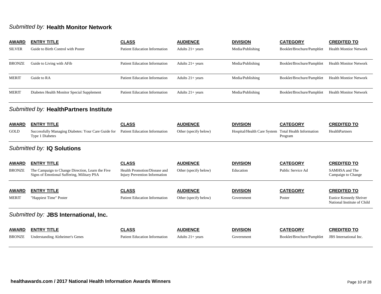## *Submitted by:* **Health Monitor Network**

| <b>AWARD</b>  | <b>ENTRY TITLE</b>                                                                             | <b>CLASS</b>                                                         | <b>AUDIENCE</b>       | <b>DIVISION</b>             | <b>CATEGORY</b>                            | <b>CREDITED TO</b>                                    |
|---------------|------------------------------------------------------------------------------------------------|----------------------------------------------------------------------|-----------------------|-----------------------------|--------------------------------------------|-------------------------------------------------------|
| <b>SILVER</b> | Guide to Birth Control with Poster                                                             | <b>Patient Education Information</b>                                 | Adults $21+$ years    | Media/Publishing            | Booklet/Brochure/Pamphlet                  | <b>Health Montior Network</b>                         |
| <b>BRONZE</b> | Guide to Living with AFib                                                                      | <b>Patient Education Information</b>                                 | Adults $21+$ years    | Media/Publishing            | Booklet/Brochure/Pamphlet                  | <b>Health Monitor Network</b>                         |
| <b>MERIT</b>  | Guide to RA                                                                                    | <b>Patient Education Information</b>                                 | Adults $21+$ years    | Media/Publishing            | Booklet/Brochure/Pamphlet                  | <b>Health Montior Network</b>                         |
| <b>MERIT</b>  | Diabetes Health Monitor Special Supplement                                                     | <b>Patient Education Information</b>                                 | Adults $21+$ years    | Media/Publishing            | Booklet/Brochure/Pamphlet                  | <b>Health Monitor Network</b>                         |
|               | Submitted by: HealthPartners Institute                                                         |                                                                      |                       |                             |                                            |                                                       |
| <b>AWARD</b>  | <b>ENTRY TITLE</b>                                                                             | <b>CLASS</b>                                                         | <b>AUDIENCE</b>       | <b>DIVISION</b>             | <b>CATEGORY</b>                            | <b>CREDITED TO</b>                                    |
| GOLD          | Successfully Managing Diabetes: Your Care Guide for<br>Type 1 Diabetes                         | Patient Education Information                                        | Other (specify below) | Hospital/Health Care System | <b>Total Health Information</b><br>Program | HealthPartners                                        |
|               | Submitted by: IQ Solutions                                                                     |                                                                      |                       |                             |                                            |                                                       |
| <b>AWARD</b>  | <b>ENTRY TITLE</b>                                                                             | <b>CLASS</b>                                                         | <b>AUDIENCE</b>       | <b>DIVISION</b>             | <b>CATEGORY</b>                            | <b>CREDITED TO</b>                                    |
| <b>BRONZE</b> | The Campaign to Change Direction, Learn the Five<br>Signs of Emotional Suffering, Military PSA | Health Promotion/Disease and<br><b>Injury Prevention Information</b> | Other (specify below) | Education                   | Public Service Ad                          | SAMHSA and The<br>Campaign to Change                  |
| <b>AWARD</b>  | <b>ENTRY TITLE</b>                                                                             | <b>CLASS</b>                                                         | <b>AUDIENCE</b>       | <b>DIVISION</b>             | <b>CATEGORY</b>                            | <b>CREDITED TO</b>                                    |
| <b>MERIT</b>  | "Happiest Time" Poster                                                                         | Patient Education Information                                        | Other (specify below) | Government                  | Poster                                     | Eunice Kennedy Shriver<br>National Institute of Child |
|               | Submitted by: JBS International, Inc.                                                          |                                                                      |                       |                             |                                            |                                                       |
| <b>AWARD</b>  | <b>ENTRY TITLE</b>                                                                             | <b>CLASS</b>                                                         | <b>AUDIENCE</b>       | <b>DIVISION</b>             | <b>CATEGORY</b>                            | <b>CREDITED TO</b>                                    |
| <b>BRONZE</b> | <b>Understanding Alzheimer's Genes</b>                                                         | <b>Patient Education Information</b>                                 | Adults $21+$ years    | Government                  | Booklet/Brochure/Pamphlet                  | <b>JBS</b> International Inc.                         |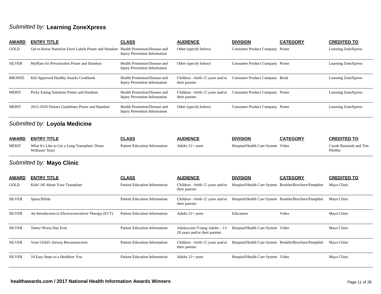### *Submitted by:* **Learning ZoneXpress**

| <b>AWARD</b>                  | <b>ENTRY TITLE</b>                                    | <b>CLASS</b>                                                         | <b>AUDIENCE</b>                                 | <b>DIVISION</b>                 | <b>CATEGORY</b> | <b>CREDITED TO</b>  |  |  |
|-------------------------------|-------------------------------------------------------|----------------------------------------------------------------------|-------------------------------------------------|---------------------------------|-----------------|---------------------|--|--|
| <b>GOLD</b>                   | Get to Know Nutrition Facts Labels Poster and Handout | Health Promotion/Disease and<br><b>Injury Prevention Information</b> | Other (specify below)                           | Consumer Product Company Poster |                 | Learning ZoneXpress |  |  |
| <b>SILVER</b>                 | MyPlate for Preschoolers Poster and Handout           | Health Promotion/Disease and<br><b>Injury Prevention Information</b> | Other (specify below)                           | Consumer Product Company Poster |                 | Learning ZoneXpress |  |  |
| <b>BRONZE</b>                 | Kid Approved Healthy Snacks Cookbook                  | Health Promotion/Disease and<br><b>Injury Prevention Information</b> | Children—birth-12 years and/or<br>their parents | Consumer Product Company Book   |                 | Learning ZoneXpress |  |  |
| <b>MERIT</b>                  | Picky Eating Solutions Poster and Handout             | Health Promotion/Disease and<br><b>Injury Prevention Information</b> | Children—birth-12 years and/or<br>their parents | Consumer Product Company Poster |                 | Learning ZoneXpress |  |  |
| <b>MERIT</b>                  | 2015-2020 Dietary Guidelines Poster and Handout       | Health Promotion/Disease and<br><b>Injury Prevention Information</b> | Other (specify below)                           | Consumer Product Company Poster |                 | Learning ZoneXpress |  |  |
| Submitted by: Loyola Medicine |                                                       |                                                                      |                                                 |                                 |                 |                     |  |  |

| <b>AWARD</b> | <b>ENTRY TITLE</b>                                                | CLASS                         | <b>AUDIENCF</b>    | <b>DIVISION</b>                   | <b>CATEGORY</b> | <b>CREDITED TO</b>                  |
|--------------|-------------------------------------------------------------------|-------------------------------|--------------------|-----------------------------------|-----------------|-------------------------------------|
| <b>MERIT</b> | What It's Like to Get a Lung Transplant: Diane<br>Williams' Story | Patient Education Information | Adults $21+$ vears | Hospital/Health Care System Video |                 | Carole Banasiak and Tim<br>Pfeiffer |

## *Submitted by:* **Mayo Clinic**

| <b>AWARD</b>  | <b>ENTRY TITLE</b>                                 | <b>CLASS</b>                         | <b>AUDIENCE</b>                                               | <b>DIVISION</b>                                       | <b>CATEGORY</b> | <b>CREDITED TO</b> |
|---------------|----------------------------------------------------|--------------------------------------|---------------------------------------------------------------|-------------------------------------------------------|-----------------|--------------------|
| <b>GOLD</b>   | Kids! All About Your Transplant                    | <b>Patient Education Information</b> | Children—birth-12 years and/or<br>their parents               | Hospital/Health Care System Booklet/Brochure/Pamphlet |                 | Mayo Clinic        |
| <b>SILVER</b> | Spina Bifida                                       | <b>Patient Education Information</b> | Children—birth-12 years and/or<br>their parents               | Hospital/Health Care System Booklet/Brochure/Pamphlet |                 | Mayo Clinic        |
| <b>SILVER</b> | An Introduction to Electroconvulsive Therapy (ECT) | <b>Patient Education Information</b> | Adults $21+$ years                                            | Education                                             | Video           | Mayo Clinic        |
| <b>SILVER</b> | Teens+Worst Day Ever                               | <b>Patient Education Information</b> | Adolescents/Young Adults—13-<br>20 years and/or their parents | Hospital/Health Care System Video                     |                 | Mayo Clinic        |
| <b>SILVER</b> | Your Child's Airway Reconstruction                 | <b>Patient Education Information</b> | Children—birth-12 years and/or<br>their parents               | Hospital/Health Care System Booklet/Brochure/Pamphlet |                 | Mayo Clinic        |
| <b>SILVER</b> | 10 Easy Steps to a Healthier You                   | <b>Patient Education Information</b> | Adults $21+$ years                                            | Hospital/Health Care System Video                     |                 | Mayo Clinic        |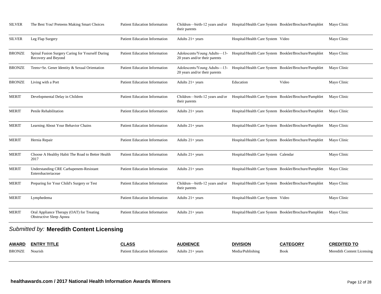| <b>SILVER</b> | The Best You! Preteens Making Smart Choices                             | <b>Patient Education Information</b> | Children—birth-12 years and/or Hospital/Health Care System Booklet/Brochure/Pamphlet<br>their parents               |                                                       |       | Mayo Clinic |  |  |  |
|---------------|-------------------------------------------------------------------------|--------------------------------------|---------------------------------------------------------------------------------------------------------------------|-------------------------------------------------------|-------|-------------|--|--|--|
| <b>SILVER</b> | Leg Flap Surgery                                                        | <b>Patient Education Information</b> | Adults $21+ years$                                                                                                  | Hospital/Health Care System Video                     |       | Mayo Clinic |  |  |  |
| <b>BRONZE</b> | Spinal Fusion Surgery Caring for Yourself During<br>Recovery and Beyond | <b>Patient Education Information</b> | Adolescents/Young Adults-13- Hospital/Health Care System Booklet/Brochure/Pamphlet<br>20 years and/or their parents |                                                       |       | Mayo Clinic |  |  |  |
| BRONZE        | Teens+Se. Gener Identity & Sexual Orientation                           | <b>Patient Education Information</b> | Adolescents/Young Adults—13- Hospital/Health Care System Booklet/Brochure/Pamphlet<br>20 years and/or their parents |                                                       |       | Mayo Clinic |  |  |  |
| <b>BRONZE</b> | Living with a Port                                                      | <b>Patient Education Information</b> | Adults $21+ years$                                                                                                  | Education                                             | Video | Mayo Clinic |  |  |  |
| MERIT         | Developmental Delay in Children                                         | <b>Patient Education Information</b> | Children-birth-12 years and/or Hospital/Health Care System Booklet/Brochure/Pamphlet<br>their parents               |                                                       |       | Mayo Clinic |  |  |  |
| MERIT         | Penile Rehabilitation                                                   | <b>Patient Education Information</b> | Adults $21+$ years                                                                                                  | Hospital/Health Care System Booklet/Brochure/Pamphlet |       | Mayo Clinic |  |  |  |
| <b>MERIT</b>  | Learning About Your Behavior Chains                                     | <b>Patient Education Information</b> | Adults 21+ years                                                                                                    | Hospital/Health Care System Booklet/Brochure/Pamphlet |       | Mayo Clinic |  |  |  |
| MERIT         | Hernia Repair                                                           | <b>Patient Education Information</b> | Adults $21+$ years                                                                                                  | Hospital/Health Care System Booklet/Brochure/Pamphlet |       | Mayo Clinic |  |  |  |
| <b>MERIT</b>  | Choose A Healthy Habit The Road to Better Health<br>2017                | <b>Patient Education Information</b> | Adults $21+$ years                                                                                                  | Hospital/Health Care System Calendar                  |       | Mayo Clinic |  |  |  |
| <b>MERIT</b>  | Understanding CRE Carbapenem-Resistant<br>Enterobacteriaceae            | <b>Patient Education Information</b> | Adults $21+$ years                                                                                                  | Hospital/Health Care System Booklet/Brochure/Pamphlet |       | Mayo Clinic |  |  |  |
| MERIT         | Preparing for Your Child's Surgery or Test                              | <b>Patient Education Information</b> | Children—birth-12 years and/or Hospital/Health Care System Booklet/Brochure/Pamphlet<br>their parents               |                                                       |       | Mayo Clinic |  |  |  |
| <b>MERIT</b>  | Lymphedema                                                              | <b>Patient Education Information</b> | Adults $21+ years$                                                                                                  | Hospital/Health Care System Video                     |       | Mayo Clinic |  |  |  |
| <b>MERIT</b>  | Oral Appliance Therapy (OAT) for Treating<br>Obstructive Sleep Apnea    | <b>Patient Education Information</b> | Adults $21+$ years                                                                                                  | Hospital/Health Care System Booklet/Brochure/Pamphlet |       | Mayo Clinic |  |  |  |
|               | Submitted by: Meredith Content Licensing                                |                                      |                                                                                                                     |                                                       |       |             |  |  |  |

#### *Submitted by:* **Meredith Content Licensing**

| <b>AWARD</b> | <b>ENTRY TITLE</b> | CLASS                         | <b>AUDIENCE</b>  | <b>DIVISION</b>  | <b>CATEGORY</b> | <b>CREDITED TO</b>         |
|--------------|--------------------|-------------------------------|------------------|------------------|-----------------|----------------------------|
| BRONZE       | Nourish            | Patient Education Information | Adults 21+ vears | Media/Publishing | <b>Book</b>     | Meredith Content Licensing |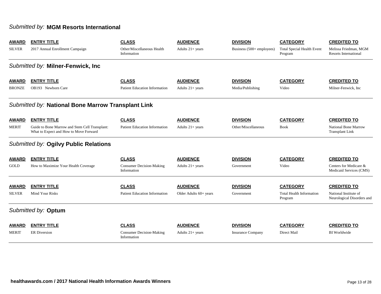### *Submitted by:* **MGM Resorts International**

| <b>AWARD</b>  | <b>ENTRY TITLE</b>                                                                       | <b>CLASS</b>                                   | <b>AUDIENCE</b>          | <b>DIVISION</b>           | <b>CATEGORY</b>                              | <b>CREDITED TO</b>                                    |  |  |  |  |
|---------------|------------------------------------------------------------------------------------------|------------------------------------------------|--------------------------|---------------------------|----------------------------------------------|-------------------------------------------------------|--|--|--|--|
| <b>SILVER</b> | 2017 Annual Enrollment Campaign                                                          | Other/Miscellaneous Health<br>Information      | Adults $21+$ years       | Business (500+ employees) | <b>Total Special Health Event</b><br>Program | Melissa Friedman, MGM<br><b>Resorts International</b> |  |  |  |  |
|               | Submitted by: Milner-Fenwick, Inc.                                                       |                                                |                          |                           |                                              |                                                       |  |  |  |  |
| <b>AWARD</b>  | <b>ENTRY TITLE</b>                                                                       | <b>CLASS</b>                                   | <b>AUDIENCE</b>          | <b>DIVISION</b>           | <b>CATEGORY</b>                              | <b>CREDITED TO</b>                                    |  |  |  |  |
| <b>BRONZE</b> | OB193 Newborn Care                                                                       | <b>Patient Education Information</b>           | Adults $21+$ years       | Media/Publishing          | Video                                        | Milner-Fenwick, Inc                                   |  |  |  |  |
|               | Submitted by: National Bone Marrow Transplant Link                                       |                                                |                          |                           |                                              |                                                       |  |  |  |  |
| <b>AWARD</b>  | <b>ENTRY TITLE</b>                                                                       | <b>CLASS</b>                                   | <b>AUDIENCE</b>          | <b>DIVISION</b>           | <b>CATEGORY</b>                              | <b>CREDITED TO</b>                                    |  |  |  |  |
| <b>MERIT</b>  | Guide to Bone Marrow and Stem Cell Transplant:<br>What to Expect and How to Move Forward | <b>Patient Education Information</b>           | Adults $21+$ years       | Other/Miscellaneous       | <b>Book</b>                                  | <b>National Bone Marrow</b><br><b>Transplant Link</b> |  |  |  |  |
|               | Submitted by: Ogilvy Public Relations                                                    |                                                |                          |                           |                                              |                                                       |  |  |  |  |
| <b>AWARD</b>  | <b>ENTRY TITLE</b>                                                                       | <b>CLASS</b>                                   | <b>AUDIENCE</b>          | <b>DIVISION</b>           | <b>CATEGORY</b>                              | <b>CREDITED TO</b>                                    |  |  |  |  |
| GOLD          | How to Maximize Your Health Coverage                                                     | <b>Consumer Decision-Making</b><br>Information | Adults $21+$ years       | Government                | Video                                        | Centers for Medicare &<br>Medicaid Services (CMS)     |  |  |  |  |
| <b>AWARD</b>  | <b>ENTRY TITLE</b>                                                                       | <b>CLASS</b>                                   | <b>AUDIENCE</b>          | <b>DIVISION</b>           | <b>CATEGORY</b>                              | <b>CREDITED TO</b>                                    |  |  |  |  |
| <b>SILVER</b> | Mind Your Risks                                                                          | <b>Patient Education Information</b>           | Older Adults $60+$ years | Government                | <b>Total Health Information</b><br>Program   | National Institute of<br>Neurological Disorders and   |  |  |  |  |
|               | Submitted by: Optum                                                                      |                                                |                          |                           |                                              |                                                       |  |  |  |  |
| <b>AWARD</b>  | <b>ENTRY TITLE</b>                                                                       | <b>CLASS</b>                                   | <b>AUDIENCE</b>          | <b>DIVISION</b>           | <b>CATEGORY</b>                              | <b>CREDITED TO</b>                                    |  |  |  |  |
| <b>MERIT</b>  | <b>ER</b> Diversion                                                                      | <b>Consumer Decision-Making</b><br>Information | Adults $21+$ years       | <b>Insurance Company</b>  | Direct Mail                                  | <b>BI</b> Worldwide                                   |  |  |  |  |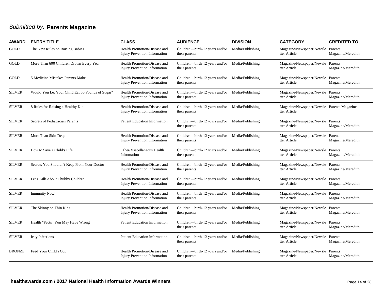## *Submitted by:* **Parents Magazine**

| <b>AWARD</b>  | <b>ENTRY TITLE</b>                               | <b>CLASS</b>                                                         | <b>AUDIENCE</b>                                                  | <b>DIVISION</b>  | <b>CATEGORY</b>                                            | <b>CREDITED TO</b> |
|---------------|--------------------------------------------------|----------------------------------------------------------------------|------------------------------------------------------------------|------------------|------------------------------------------------------------|--------------------|
| <b>GOLD</b>   | The New Rules on Raising Babies                  | Health Promotion/Disease and<br><b>Injury Prevention Information</b> | Children-birth-12 years and/or<br>their parents                  | Media/Publishing | Magazine/Newspaper/Newsle Parents<br>tter Article          | Magazine/Meredith  |
| GOLD          | More Than 600 Children Drown Every Year          | Health Promotion/Disease and<br><b>Injury Prevention Information</b> | Children—birth-12 years and/or<br>their parents                  | Media/Publishing | Magazine/Newspaper/Newsle Parents<br>tter Article          | Magazine/Meredith  |
| <b>GOLD</b>   | 5 Medicine Mistakes Parents Make                 | Health Promotion/Disease and<br><b>Injury Prevention Information</b> | Children—birth-12 years and/or Media/Publishing<br>their parents |                  | Magazine/Newspaper/Newsle Parents<br>tter Article          | Magazine/Meredith  |
| <b>SILVER</b> | Would You Let Your Child Eat 50 Pounds of Sugar? | Health Promotion/Disease and<br><b>Injury Prevention Information</b> | Children—birth-12 years and/or Media/Publishing<br>their parents |                  | Magazine/Newspaper/Newsle Parents<br>tter Article          | Magazine/Meredith  |
| <b>SILVER</b> | 8 Rules for Raising a Healthy Kid                | Health Promotion/Disease and<br><b>Injury Prevention Information</b> | Children—birth-12 years and/or Media/Publishing<br>their parents |                  | Magazine/Newspaper/Newsle Parents Magazine<br>tter Article |                    |
| <b>SILVER</b> | Secrets of Pediatrician Parents                  | <b>Patient Education Information</b>                                 | Children-birth-12 years and/or Media/Publishing<br>their parents |                  | Magazine/Newspaper/Newsle Parents<br>tter Article          | Magazine/Meredith  |
| <b>SILVER</b> | More Than Skin Deep                              | Health Promotion/Disease and<br><b>Injury Prevention Information</b> | Children—birth-12 years and/or Media/Publishing<br>their parents |                  | Magazine/Newspaper/Newsle Parents<br>tter Article          | Magazine/Meredith  |
| <b>SILVER</b> | How to Save a Child's Life                       | Other/Miscellaneous Health<br>Information                            | Children-birth-12 years and/or Media/Publishing<br>their parents |                  | Magazine/Newspaper/Newsle Parents<br>tter Article          | Magazine/Meredith  |
| <b>SILVER</b> | Secrets You Shouldn't Keep From Your Doctor      | Health Promotion/Disease and<br>Injury Prevention Information        | Children—birth-12 years and/or<br>their parents                  | Media/Publishing | Magazine/Newspaper/Newsle Parents<br>tter Article          | Magazine/Meredith  |
| <b>SILVER</b> | Let's Talk About Chubby Children                 | Health Promotion/Disease and<br><b>Injury Prevention Information</b> | Children-birth-12 years and/or Media/Publishing<br>their parents |                  | Magazine/Newspaper/Newsle Parents<br>tter Article          | Magazine/Meredith  |
| <b>SILVER</b> | <b>Immunity Now!</b>                             | Health Promotion/Disease and<br>Injury Prevention Information        | Children-birth-12 years and/or Media/Publishing<br>their parents |                  | Magazine/Newspaper/Newsle Parents<br>tter Article          | Magazine/Meredith  |
| <b>SILVER</b> | The Skinny on Thin Kids                          | Health Promotion/Disease and<br><b>Injury Prevention Information</b> | Children—birth-12 years and/or Media/Publishing<br>their parents |                  | Magazine/Newspaper/Newsle Parents<br>tter Article          | Magazine/Meredith  |
| <b>SILVER</b> | Health "Facts" You May Have Wrong                | <b>Patient Education Information</b>                                 | Children-birth-12 years and/or Media/Publishing<br>their parents |                  | Magazine/Newspaper/Newsle Parents<br>tter Article          | Magazine/Meredith  |
| <b>SILVER</b> | <b>Icky</b> Infections                           | <b>Patient Education Information</b>                                 | Children—birth-12 years and/or Media/Publishing<br>their parents |                  | Magazine/Newspaper/Newsle Parents<br>tter Article          | Magazine/Meredith  |
| <b>BRONZE</b> | Feed Your Child's Gut                            | Health Promotion/Disease and<br><b>Injury Prevention Information</b> | Children-birth-12 years and/or Media/Publishing<br>their parents |                  | Magazine/Newspaper/Newsle Parents<br>tter Article          | Magazine/Meredith  |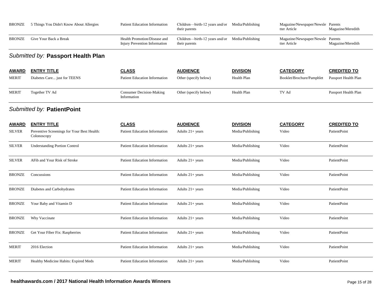| <b>BRONZE</b> | 5 Things You Didn't Know About Allergies                   | <b>Patient Education Information</b>                                 | Children-birth-12 years and/or Media/Publishing<br>their parents |                  | Magazine/Newspaper/Newsle Parents<br>tter Article | Magazine/Meredith    |
|---------------|------------------------------------------------------------|----------------------------------------------------------------------|------------------------------------------------------------------|------------------|---------------------------------------------------|----------------------|
| <b>BRONZE</b> | Give Your Back a Break                                     | Health Promotion/Disease and<br><b>Injury Prevention Information</b> | Children-birth-12 years and/or Media/Publishing<br>their parents |                  | Magazine/Newspaper/Newsle Parents<br>tter Article | Magazine/Meredith    |
|               | Submitted by: Passport Health Plan                         |                                                                      |                                                                  |                  |                                                   |                      |
| <u>AWARD</u>  | <b>ENTRY TITLE</b>                                         | <b>CLASS</b>                                                         | <b>AUDIENCE</b>                                                  | <b>DIVISION</b>  | <b>CATEGORY</b>                                   | <b>CREDITED TO</b>   |
| <b>MERIT</b>  | Diabetes Care just for TEENS                               | <b>Patient Education Information</b>                                 | Other (specify below)                                            | Health Plan      | Booklet/Brochure/Pamphlet                         | Passport Health Plan |
| <b>MERIT</b>  | Together TV Ad                                             | <b>Consumer Decision-Making</b><br>Information                       | Other (specify below)                                            | Health Plan      | TV Ad                                             | Passport Health Plan |
|               | Submitted by: PatientPoint                                 |                                                                      |                                                                  |                  |                                                   |                      |
| <u>AWARD</u>  | <b>ENTRY TITLE</b>                                         | <b>CLASS</b>                                                         | <b>AUDIENCE</b>                                                  | <b>DIVISION</b>  | <b>CATEGORY</b>                                   | <b>CREDITED TO</b>   |
| <b>SILVER</b> | Preventive Screenings for Your Best Health:<br>Colonoscopy | <b>Patient Education Information</b>                                 | Adults $21+$ years                                               | Media/Publishing | Video                                             | PatientPoint         |
| <b>SILVER</b> | <b>Understanding Portion Control</b>                       | <b>Patient Education Information</b>                                 | Adults $21+ years$                                               | Media/Publishing | Video                                             | PatientPoint         |
| <b>SILVER</b> | AFib and Your Risk of Stroke                               | <b>Patient Education Information</b>                                 | Adults 21+ years                                                 | Media/Publishing | Video                                             | PatientPoint         |
| <b>BRONZE</b> | Concussions                                                | <b>Patient Education Information</b>                                 | Adults $21+$ years                                               | Media/Publishing | Video                                             | PatientPoint         |
| <b>BRONZE</b> | Diabetes and Carbohydrates                                 | <b>Patient Education Information</b>                                 | Adults $21+ years$                                               | Media/Publishing | Video                                             | PatientPoint         |
| <b>BRONZE</b> | Your Baby and Vitamin D                                    | <b>Patient Education Information</b>                                 | Adults $21+$ years                                               | Media/Publishing | Video                                             | PatientPoint         |
| <b>BRONZE</b> | Why Vaccinate                                              | Patient Education Information                                        | Adults $21+$ years                                               | Media/Publishing | Video                                             | PatientPoint         |
| <b>BRONZE</b> | Get Your Fiber Fix: Raspberries                            | <b>Patient Education Information</b>                                 | Adults $21+ years$                                               | Media/Publishing | Video                                             | PatientPoint         |
| <b>MERIT</b>  | 2016 Election                                              | <b>Patient Education Information</b>                                 | Adults $21+ years$                                               | Media/Publishing | Video                                             | PatientPoint         |
| <b>MERIT</b>  | Healthy Medicine Habits: Expired Meds                      | <b>Patient Education Information</b>                                 | Adults 21+ years                                                 | Media/Publishing | Video                                             | PatientPoint         |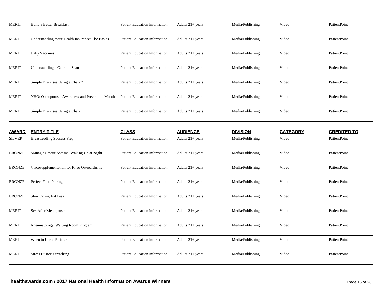| <b>MERIT</b>  | Build a Better Breakfast                         | <b>Patient Education Information</b> | Adults $21+ years$ | Media/Publishing | Video           | PatientPoint       |
|---------------|--------------------------------------------------|--------------------------------------|--------------------|------------------|-----------------|--------------------|
| <b>MERIT</b>  | Understanding Your Health Insurance: The Basics  | <b>Patient Education Information</b> | Adults $21+$ years | Media/Publishing | Video           | PatientPoint       |
| <b>MERIT</b>  | <b>Baby Vaccines</b>                             | <b>Patient Education Information</b> | Adults $21+ years$ | Media/Publishing | Video           | PatientPoint       |
| <b>MERIT</b>  | Understanding a Calcium Scan                     | <b>Patient Education Information</b> | Adults $21+$ years | Media/Publishing | Video           | PatientPoint       |
| <b>MERIT</b>  | Simple Exercises Using a Chair 2                 | <b>Patient Education Information</b> | Adults $21+ years$ | Media/Publishing | Video           | PatientPoint       |
| <b>MERIT</b>  | NHO: Osteoporosis Awareness and Prevention Month | Patient Education Information        | Adults $21+ years$ | Media/Publishing | Video           | PatientPoint       |
| <b>MERIT</b>  | Simple Exercises Using a Chair 1                 | <b>Patient Education Information</b> | Adults $21+$ years | Media/Publishing | Video           | PatientPoint       |
| <b>AWARD</b>  | <b>ENTRY TITLE</b>                               | <b>CLASS</b>                         | <b>AUDIENCE</b>    | <b>DIVISION</b>  | <b>CATEGORY</b> | <b>CREDITED TO</b> |
| <b>SILVER</b> | <b>Breastfeeding Success Prep</b>                | <b>Patient Education Information</b> | Adults $21+$ years | Media/Publishing | Video           | PatientPoint       |
| BRONZE        | Managing Your Asthma: Waking Up at Night         | <b>Patient Education Information</b> | Adults $21+$ years | Media/Publishing | Video           | PatientPoint       |
| <b>BRONZE</b> | Viscosupplementation for Knee Osteoarthritis     | <b>Patient Education Information</b> | Adults $21+ years$ | Media/Publishing | Video           | PatientPoint       |
| BRONZE        | Perfect Food Pairings                            | <b>Patient Education Information</b> | Adults $21+ years$ | Media/Publishing | Video           | PatientPoint       |
| <b>BRONZE</b> | Slow Down, Eat Less                              | <b>Patient Education Information</b> | Adults 21+ years   | Media/Publishing | Video           | PatientPoint       |
| MERIT         | Sex After Menopause                              | <b>Patient Education Information</b> | Adults 21+ years   | Media/Publishing | Video           | PatientPoint       |
| <b>MERIT</b>  | Rheumatology, Waiting Room Program               | <b>Patient Education Information</b> | Adults 21+ years   | Media/Publishing | Video           | PatientPoint       |
| MERIT         | When to Use a Pacifier                           | <b>Patient Education Information</b> | Adults $21+$ years | Media/Publishing | Video           | PatientPoint       |
| MERIT         | <b>Stress Buster: Stretching</b>                 | <b>Patient Education Information</b> | Adults $21+$ years | Media/Publishing | Video           | PatientPoint       |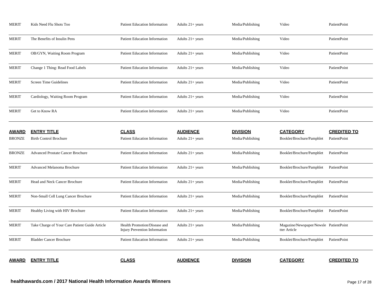| AWARD         | <b>ENTRY TITLE</b>                             | <b>CLASS</b>                                                         | <b>AUDIENCE</b>    | <b>DIVISION</b>  | <b>CATEGORY</b>                                        | <b>CREDITED TO</b> |
|---------------|------------------------------------------------|----------------------------------------------------------------------|--------------------|------------------|--------------------------------------------------------|--------------------|
| <b>MERIT</b>  | <b>Bladder Cancer Brochure</b>                 | <b>Patient Education Information</b>                                 | Adults $21+ years$ | Media/Publishing | Booklet/Brochure/Pamphlet                              | PatientPoint       |
| <b>MERIT</b>  | Take Charge of Your Care Patient Guide Article | Health Promotion/Disease and<br><b>Injury Prevention Information</b> | Adults $21+$ years | Media/Publishing | Magazine/Newspaper/Newsle PatientPoint<br>tter Article |                    |
| <b>MERIT</b>  | Healthy Living with HIV Brochure               | <b>Patient Education Information</b>                                 | Adults $21+$ years | Media/Publishing | Booklet/Brochure/Pamphlet                              | PatientPoint       |
| MERIT         | Non-Small Cell Lung Cancer Brochure            | <b>Patient Education Information</b>                                 | Adults $21+$ years | Media/Publishing | Booklet/Brochure/Pamphlet                              | PatientPoint       |
| <b>MERIT</b>  | Head and Neck Cancer Brochure                  | <b>Patient Education Information</b>                                 | Adults $21+$ years | Media/Publishing | Booklet/Brochure/Pamphlet                              | PatientPoint       |
| <b>MERIT</b>  | Advanced Melanoma Brochure                     | <b>Patient Education Information</b>                                 | Adults $21+$ years | Media/Publishing | Booklet/Brochure/Pamphlet                              | PatientPoint       |
| <b>BRONZE</b> | <b>Advanced Prostate Cancer Brochure</b>       | <b>Patient Education Information</b>                                 | Adults $21+$ years | Media/Publishing | Booklet/Brochure/Pamphlet                              | PatientPoint       |
| <b>BRONZE</b> | <b>Birth Control Brochure</b>                  | <b>Patient Education Information</b>                                 | Adults $21+$ years | Media/Publishing | Booklet/Brochure/Pamphlet                              | PatientPoint       |
| <u>AWARD</u>  | <b>ENTRY TITLE</b>                             | <b>CLASS</b>                                                         | <b>AUDIENCE</b>    | <b>DIVISION</b>  | <b>CATEGORY</b>                                        | <b>CREDITED TO</b> |
| <b>MERIT</b>  | Get to Know RA                                 | <b>Patient Education Information</b>                                 | Adults $21+$ years | Media/Publishing | Video                                                  | PatientPoint       |
| MERIT         | Cardiology, Waiting Room Program               | <b>Patient Education Information</b>                                 | Adults $21+ years$ | Media/Publishing | Video                                                  | PatientPoint       |
| MERIT         | Screen Time Guidelines                         | <b>Patient Education Information</b>                                 | Adults $21+$ years | Media/Publishing | Video                                                  | PatientPoint       |
| <b>MERIT</b>  | Change 1 Thing: Read Food Labels               | <b>Patient Education Information</b>                                 | Adults $21+$ years | Media/Publishing | Video                                                  | PatientPoint       |
| <b>MERIT</b>  | OB/GYN, Waiting Room Program                   | <b>Patient Education Information</b>                                 | Adults $21+$ years | Media/Publishing | Video                                                  | PatientPoint       |
| <b>MERIT</b>  | The Benefits of Insulin Pens                   | <b>Patient Education Information</b>                                 | Adults $21+$ years | Media/Publishing | Video                                                  | PatientPoint       |
| <b>MERIT</b>  | Kids Need Flu Shots Too                        | <b>Patient Education Information</b>                                 | Adults $21+$ years | Media/Publishing | Video                                                  | PatientPoint       |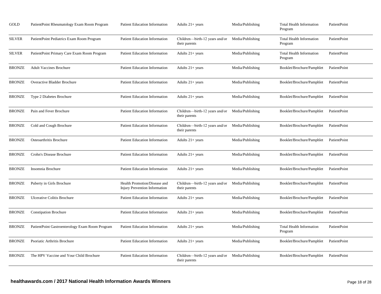| GOLD          | PatientPoint Rheumatology Exam Room Program     | <b>Patient Education Information</b>                                 | Adults $21+ years$                              | Media/Publishing | <b>Total Health Information</b><br>Program | PatientPoint |
|---------------|-------------------------------------------------|----------------------------------------------------------------------|-------------------------------------------------|------------------|--------------------------------------------|--------------|
| <b>SILVER</b> | PatientPoint Pediatrics Exam Room Program       | <b>Patient Education Information</b>                                 | Children—birth-12 years and/or<br>their parents | Media/Publishing | <b>Total Health Information</b><br>Program | PatientPoint |
| SILVER        | PatientPoint Primary Care Exam Room Program     | <b>Patient Education Information</b>                                 | Adults $21+$ years                              | Media/Publishing | <b>Total Health Information</b><br>Program | PatientPoint |
| <b>BRONZE</b> | <b>Adult Vaccines Brochure</b>                  | <b>Patient Education Information</b>                                 | Adults $21+ years$                              | Media/Publishing | Booklet/Brochure/Pamphlet                  | PatientPoint |
| BRONZE        | Overactive Bladder Brochure                     | <b>Patient Education Information</b>                                 | Adults $21+$ years                              | Media/Publishing | Booklet/Brochure/Pamphlet                  | PatientPoint |
| BRONZE        | Type 2 Diabetes Brochure                        | <b>Patient Education Information</b>                                 | Adults $21+ years$                              | Media/Publishing | Booklet/Brochure/Pamphlet                  | PatientPoint |
| BRONZE        | Pain and Fever Brochure                         | <b>Patient Education Information</b>                                 | Children—birth-12 years and/or<br>their parents | Media/Publishing | Booklet/Brochure/Pamphlet                  | PatientPoint |
| BRONZE        | Cold and Cough Brochure                         | <b>Patient Education Information</b>                                 | Children-birth-12 years and/or<br>their parents | Media/Publishing | Booklet/Brochure/Pamphlet                  | PatientPoint |
| <b>BRONZE</b> | Osteoarthritis Brochure                         | <b>Patient Education Information</b>                                 | Adults $21+$ years                              | Media/Publishing | Booklet/Brochure/Pamphlet                  | PatientPoint |
| BRONZE        | Crohn's Disease Brochure                        | <b>Patient Education Information</b>                                 | Adults $21+$ years                              | Media/Publishing | Booklet/Brochure/Pamphlet                  | PatientPoint |
| BRONZE        | Insomnia Brochure                               | <b>Patient Education Information</b>                                 | Adults $21+$ years                              | Media/Publishing | Booklet/Brochure/Pamphlet                  | PatientPoint |
| BRONZE        | Puberty in Girls Brochure                       | Health Promotion/Disease and<br><b>Injury Prevention Information</b> | Children-birth-12 years and/or<br>their parents | Media/Publishing | Booklet/Brochure/Pamphlet                  | PatientPoint |
| BRONZE        | <b>Ulcerative Colitis Brochure</b>              | <b>Patient Education Information</b>                                 | Adults $21+ years$                              | Media/Publishing | Booklet/Brochure/Pamphlet                  | PatientPoint |
| BRONZE        | <b>Constipation Brochure</b>                    | <b>Patient Education Information</b>                                 | Adults $21+$ years                              | Media/Publishing | Booklet/Brochure/Pamphlet                  | PatientPoint |
| BRONZE        | PatientPoint Gastroenterology Exam Room Program | <b>Patient Education Information</b>                                 | Adults $21+ years$                              | Media/Publishing | <b>Total Health Information</b><br>Program | PatientPoint |
| BRONZE        | Psoriatic Arthritis Brochure                    | Patient Education Information                                        | Adults 21+ years                                | Media/Publishing | Booklet/Brochure/Pamphlet                  | PatientPoint |
| BRONZE        | The HPV Vaccine and Your Child Brochure         | <b>Patient Education Information</b>                                 | Children-birth-12 years and/or<br>their parents | Media/Publishing | Booklet/Brochure/Pamphlet                  | PatientPoint |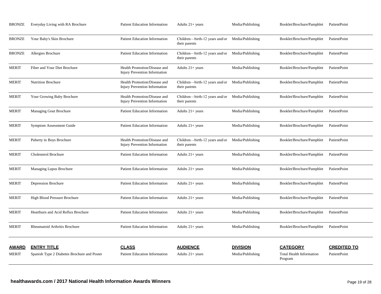| <b>BRONZE</b>         | Everyday Living with RA Brochure                                  | <b>Patient Education Information</b>                                 | Adults $21+$ years                                               | Media/Publishing                    | Booklet/Brochure/Pamphlet                                     | PatientPoint                       |
|-----------------------|-------------------------------------------------------------------|----------------------------------------------------------------------|------------------------------------------------------------------|-------------------------------------|---------------------------------------------------------------|------------------------------------|
| <b>BRONZE</b>         | Your Baby's Skin Brochure                                         | <b>Patient Education Information</b>                                 | Children—birth-12 years and/or<br>their parents                  | Media/Publishing                    | Booklet/Brochure/Pamphlet                                     | PatientPoint                       |
| <b>BRONZE</b>         | Allergies Brochure                                                | <b>Patient Education Information</b>                                 | Children-birth-12 years and/or<br>their parents                  | Media/Publishing                    | Booklet/Brochure/Pamphlet                                     | PatientPoint                       |
| <b>MERIT</b>          | Fiber and Your Diet Brochure                                      | Health Promotion/Disease and<br>Injury Prevention Information        | Adults $21+ years$                                               | Media/Publishing                    | Booklet/Brochure/Pamphlet                                     | PatientPoint                       |
| <b>MERIT</b>          | <b>Nutrition Brochure</b>                                         | Health Promotion/Disease and<br>Injury Prevention Information        | Children—birth-12 years and/or<br>their parents                  | Media/Publishing                    | Booklet/Brochure/Pamphlet                                     | PatientPoint                       |
| <b>MERIT</b>          | Your Growing Baby Brochure                                        | Health Promotion/Disease and<br><b>Injury Prevention Information</b> | Children—birth-12 years and/or Media/Publishing<br>their parents |                                     | Booklet/Brochure/Pamphlet                                     | PatientPoint                       |
| <b>MERIT</b>          | <b>Managing Gout Brochure</b>                                     | <b>Patient Education Information</b>                                 | Adults $21+$ years                                               | Media/Publishing                    | Booklet/Brochure/Pamphlet                                     | PatientPoint                       |
| <b>MERIT</b>          | <b>Symptom Assessment Guide</b>                                   | <b>Patient Education Information</b>                                 | Adults 21+ years                                                 | Media/Publishing                    | Booklet/Brochure/Pamphlet                                     | PatientPoint                       |
| MERIT                 | Puberty in Boys Brochure                                          | Health Promotion/Disease and<br><b>Injury Prevention Information</b> | Children-birth-12 years and/or<br>their parents                  | Media/Publishing                    | Booklet/Brochure/Pamphlet                                     | PatientPoint                       |
| MERIT                 | Cholesterol Brochure                                              | <b>Patient Education Information</b>                                 | Adults $21+ years$                                               | Media/Publishing                    | Booklet/Brochure/Pamphlet                                     | PatientPoint                       |
| <b>MERIT</b>          | Managing Lupus Brochure                                           | <b>Patient Education Information</b>                                 | Adults $21+$ years                                               | Media/Publishing                    | Booklet/Brochure/Pamphlet                                     | PatientPoint                       |
| <b>MERIT</b>          | Depression Brochure                                               | <b>Patient Education Information</b>                                 | Adults $21+ years$                                               | Media/Publishing                    | Booklet/Brochure/Pamphlet                                     | PatientPoint                       |
| <b>MERIT</b>          | High Blood Pressure Brochure                                      | <b>Patient Education Information</b>                                 | Adults $21+$ years                                               | Media/Publishing                    | Booklet/Brochure/Pamphlet                                     | PatientPoint                       |
| <b>MERIT</b>          | Heartburn and Acid Reflux Brochure                                | <b>Patient Education Information</b>                                 | Adults $21+ years$                                               | Media/Publishing                    | Booklet/Brochure/Pamphlet                                     | PatientPoint                       |
| <b>MERIT</b>          | Rheumatoid Arthritis Brochure                                     | <b>Patient Education Information</b>                                 | Adults 21+ years                                                 | Media/Publishing                    | Booklet/Brochure/Pamphlet                                     | PatientPoint                       |
| <u>AWARD</u><br>MERIT | <b>ENTRY TITLE</b><br>Spanish Type 2 Diabetes Brochure and Poster | <b>CLASS</b><br><b>Patient Education Information</b>                 | <b>AUDIENCE</b><br>Adults $21+$ years                            | <b>DIVISION</b><br>Media/Publishing | <b>CATEGORY</b><br><b>Total Health Information</b><br>Program | <b>CREDITED TO</b><br>PatientPoint |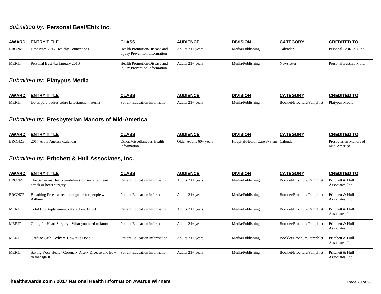## *Submitted by:* **Personal Best/Ebix Inc.**

| <b>AWARD</b>  | <b>ENTRY TITLE</b>                                                            | <b>CLASS</b>                                                         | <b>AUDIENCE</b>          | <b>DIVISION</b>                      | <b>CATEGORY</b>           | <b>CREDITED TO</b>                    |
|---------------|-------------------------------------------------------------------------------|----------------------------------------------------------------------|--------------------------|--------------------------------------|---------------------------|---------------------------------------|
| <b>BRONZE</b> | Best Bites 2017 Healthy Connections                                           | Health Promotion/Disease and<br><b>Injury Prevention Information</b> | Adults $21+$ years       | Media/Publishing                     | Calendar                  | Personal Best/Ebix Inc.               |
| <b>MERIT</b>  | Personal Best 4.u January 2016                                                | Health Promotion/Disease and<br><b>Injury Prevention Information</b> | Adults $21+$ years       | Media/Publishing                     | Newsletter                | Personal Best/Ebix Inc.               |
|               | Submitted by: Platypus Media                                                  |                                                                      |                          |                                      |                           |                                       |
| <b>AWARD</b>  | <b>ENTRY TITLE</b>                                                            | <b>CLASS</b>                                                         | <b>AUDIENCE</b>          | <b>DIVISION</b>                      | <b>CATEGORY</b>           | <b>CREDITED TO</b>                    |
| <b>MERIT</b>  | Datos para padres sobre la lactancia materna                                  | <b>Patient Education Information</b>                                 | Adults $21+$ years       | Media/Publishing                     | Booklet/Brochure/Pamphlet | Platypus Media                        |
|               | Submitted by: Presbyterian Manors of Mid-America                              |                                                                      |                          |                                      |                           |                                       |
| <b>AWARD</b>  | <b>ENTRY TITLE</b>                                                            | <b>CLASS</b>                                                         | <b>AUDIENCE</b>          | <b>DIVISION</b>                      | <b>CATEGORY</b>           | <b>CREDITED TO</b>                    |
| <b>BRONZE</b> | 2017 Art is Ageless Calendar                                                  | Other/Miscellaneous Health<br>Information                            | Older Adults $60+$ years | Hospital/Health Care System Calendar |                           | Presbyterian Manors of<br>Mid-America |
|               | Submitted by: Pritchett & Hull Associates, Inc.                               |                                                                      |                          |                                      |                           |                                       |
| <b>AWARD</b>  | <b>ENTRY TITLE</b>                                                            | <b>CLASS</b>                                                         | <b>AUDIENCE</b>          | <b>DIVISION</b>                      | <b>CATEGORY</b>           | <b>CREDITED TO</b>                    |
| <b>BRONZE</b> | The Sensuous Heart- guidelines for sex after heart<br>attack or heart surgery | <b>Patient Education Information</b>                                 | Adults $21 + years$      | Media/Publishing                     | Booklet/Brochure/Pamphlet | Pritchett & Hull<br>Associates, Inc.  |
| <b>BRONZE</b> | Breathing Free - a treatment guide for people with<br>Asthma                  | <b>Patient Education Information</b>                                 | Adults $21 + years$      | Media/Publishing                     | Booklet/Brochure/Pamphlet | Pritchett & Hull<br>Associates, Inc.  |
| <b>MERIT</b>  | Total Hip Replacement - It's a Joint Effort                                   | <b>Patient Education Information</b>                                 | Adults $21+$ years       | Media/Publishing                     | Booklet/Brochure/Pamphlet | Pritchett & Hull<br>Associates, Inc.  |
| <b>MERIT</b>  | Going for Heart Surgery - What you need to know                               | <b>Patient Education Information</b>                                 | Adults $21+$ years       | Media/Publishing                     | Booklet/Brochure/Pamphlet | Pritchett & Hull<br>Associates, Inc.  |
| <b>MERIT</b>  | Cardiac Cath - Why & How it is Done                                           | <b>Patient Education Information</b>                                 | Adults $21+$ years       | Media/Publishing                     | Booklet/Brochure/Pamphlet | Pritchett & Hull<br>Associates, Inc.  |
| <b>MERIT</b>  | Saving Your Heart - Coronary Artery Disease and how<br>to manage it           | <b>Patient Education Information</b>                                 | Adults $21+$ years       | Media/Publishing                     | Booklet/Brochure/Pamphlet | Pritchett & Hull<br>Associates, Inc.  |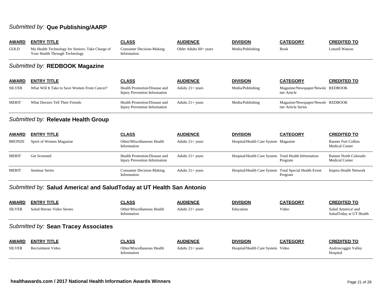## *Submitted by:* **Que Publishing/AARP**

| <b>AWARD</b>  | <b>ENTRY TITLE</b>                                                                 | <b>CLASS</b>                                                         | <b>AUDIENCE</b>        | <b>DIVISION</b>                                        | <b>CATEGORY</b>                                          | <b>CREDITED TO</b>                                    |
|---------------|------------------------------------------------------------------------------------|----------------------------------------------------------------------|------------------------|--------------------------------------------------------|----------------------------------------------------------|-------------------------------------------------------|
| GOLD          | My Health Technology for Seniors: Take Charge of<br>Your Health Through Technology | <b>Consumer Decision-Making</b><br>Information                       | Older Adults 60+ years | Media/Publishing                                       | <b>Book</b>                                              | Lonzell Watson                                        |
|               | Submitted by: REDBOOK Magazine                                                     |                                                                      |                        |                                                        |                                                          |                                                       |
| <b>AWARD</b>  | <b>ENTRY TITLE</b>                                                                 | <b>CLASS</b>                                                         | <b>AUDIENCE</b>        | <b>DIVISION</b>                                        | <b>CATEGORY</b>                                          | <b>CREDITED TO</b>                                    |
| <b>SILVER</b> | What Will It Take to Save Women From Cancer?                                       | Health Promotion/Disease and<br>Injury Prevention Information        | Adults $21+$ years     | Media/Publishing                                       | Magazine/Newspaper/Newsle REDBOOK<br>tter Article        |                                                       |
| <b>MERIT</b>  | <b>What Doctors Tell Their Friends</b>                                             | Health Promotion/Disease and<br><b>Injury Prevention Information</b> | Adults $21+ years$     | Media/Publishing                                       | Magazine/Newspaper/Newsle REDBOOK<br>tter Article Series |                                                       |
|               | Submitted by: Relevate Health Group                                                |                                                                      |                        |                                                        |                                                          |                                                       |
| <b>AWARD</b>  | <b>ENTRY TITLE</b>                                                                 | <b>CLASS</b>                                                         | <b>AUDIENCE</b>        | <b>DIVISION</b>                                        | <b>CATEGORY</b>                                          | <b>CREDITED TO</b>                                    |
| <b>BRONZE</b> | Spirit of Women Magazine                                                           | Other/Miscellaneous Health<br>Information                            | Adults $21+ years$     | Hospital/Health Care System Magazine                   |                                                          | <b>Banner Fort Collins</b><br><b>Medical Center</b>   |
| <b>MERIT</b>  | Get Screened                                                                       | Health Promotion/Disease and<br>Injury Prevention Information        | Adults 21+ years       | Hospital/Health Care System Total Health Information   | Program                                                  | <b>Banner North Colorado</b><br><b>Medical Center</b> |
| <b>MERIT</b>  | <b>Seminar Series</b>                                                              | <b>Consumer Decision-Making</b><br>Information                       | Adults $21+$ years     | Hospital/Health Care System Total Special Health Event | Program                                                  | Inspira Health Network                                |
|               | Submitted by: Salud America! and SaludToday at UT Health San Antonio               |                                                                      |                        |                                                        |                                                          |                                                       |
| <b>AWARD</b>  | <b>ENTRY TITLE</b>                                                                 | <b>CLASS</b>                                                         | <b>AUDIENCE</b>        | <b>DIVISION</b>                                        | <b>CATEGORY</b>                                          | <b>CREDITED TO</b>                                    |
| <b>SILVER</b> | Salud Heroes Video Seroes                                                          | Other/Miscellaneous Health<br>Information                            | Adults $21+$ years     | Education                                              | Video                                                    | Salud America! and<br>SaludToday at UT Health         |
|               | Submitted by: Sean Tracey Associates                                               |                                                                      |                        |                                                        |                                                          |                                                       |
| <b>AWARD</b>  | <b>ENTRY TITLE</b>                                                                 | <b>CLASS</b>                                                         | <b>AUDIENCE</b>        | <b>DIVISION</b>                                        | <b>CATEGORY</b>                                          | <b>CREDITED TO</b>                                    |
| <b>SILVER</b> | <b>Recruitment Video</b>                                                           | Other/Miscellaneous Health<br>Information                            | Adults $21+$ years     | Hospital/Health Care System Video                      |                                                          | Androscoggin Valley<br>Hospital                       |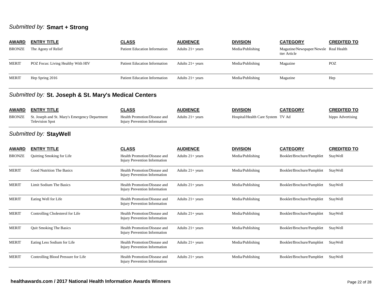### *Submitted by:* **Smart + Strong**

| <b>AWARD</b> | <b>ENTRY TITLE</b>                 | <b>CLASS</b>                         | <b>AUDIENCE</b>    | <b>DIVISION</b>  | <b>CATEGORY</b>                                       | <b>CREDITED TO</b> |
|--------------|------------------------------------|--------------------------------------|--------------------|------------------|-------------------------------------------------------|--------------------|
| BRONZE       | The Agony of Relief                | <b>Patient Education Information</b> | Adults $21+$ years | Media/Publishing | Magazine/Newspaper/Newsle Real Health<br>tter Article |                    |
| <b>MERIT</b> | POZ Focus: Living Healthy With HIV | <b>Patient Education Information</b> | Adults $21+$ years | Media/Publishing | Magazine                                              | <b>POZ</b>         |
| MERIT        | Hep Spring 2016                    | <b>Patient Education Information</b> | Adults $21+$ years | Media/Publishing | Magazine                                              | Hep                |

### *Submitted by:* **St. Joseph & St. Mary's Medical Centers**

| <b>AWARD</b> | <b>ENTRY TITLE</b>                                                              | CLASS                                                         | <b>AUDIENCE</b>    | <b>DIVISION</b>                   | <b>CATEGORY</b> | <b>CREDITED TO</b> |
|--------------|---------------------------------------------------------------------------------|---------------------------------------------------------------|--------------------|-----------------------------------|-----------------|--------------------|
|              | BRONZE St. Joseph and St. Mary's Emergency Department<br><b>Television Spot</b> | Health Promotion/Disease and<br>Injury Prevention Information | Adults $21+$ vears | Hospital/Health Care System TV Ad |                 | hippo Advertising  |

## *Submitted by:* **StayWell**

| <b>AWARD</b>  | <b>ENTRY TITLE</b>                  | <b>CLASS</b>                                                         | <b>AUDIENCE</b>    | <b>DIVISION</b>  | <b>CATEGORY</b>           | <b>CREDITED TO</b> |
|---------------|-------------------------------------|----------------------------------------------------------------------|--------------------|------------------|---------------------------|--------------------|
| <b>BRONZE</b> | Quitting Smoking for Life           | Health Promotion/Disease and<br><b>Injury Prevention Information</b> | Adults $21+$ years | Media/Publishing | Booklet/Brochure/Pamphlet | StayWell           |
| <b>MERIT</b>  | Good Nutrition The Basics           | Health Promotion/Disease and<br>Injury Prevention Information        | Adults $21+$ years | Media/Publishing | Booklet/Brochure/Pamphlet | StayWell           |
| <b>MERIT</b>  | Limit Sodium The Basics             | Health Promotion/Disease and<br>Injury Prevention Information        | Adults $21+$ years | Media/Publishing | Booklet/Brochure/Pamphlet | StayWell           |
| <b>MERIT</b>  | Eating Well for Life                | Health Promotion/Disease and<br>Injury Prevention Information        | Adults $21+$ years | Media/Publishing | Booklet/Brochure/Pamphlet | StayWell           |
| <b>MERIT</b>  | Controlling Cholesterol for Life    | Health Promotion/Disease and<br><b>Injury Prevention Information</b> | Adults $21+$ years | Media/Publishing | Booklet/Brochure/Pamphlet | StayWell           |
| <b>MERIT</b>  | <b>Quit Smoking The Basics</b>      | Health Promotion/Disease and<br>Injury Prevention Information        | Adults $21+$ years | Media/Publishing | Booklet/Brochure/Pamphlet | StayWell           |
| <b>MERIT</b>  | Eating Less Sodium for Life         | Health Promotion/Disease and<br>Injury Prevention Information        | Adults $21+$ years | Media/Publishing | Booklet/Brochure/Pamphlet | StayWell           |
| <b>MERIT</b>  | Controlling Blood Pressure for Life | Health Promotion/Disease and<br>Injury Prevention Information        | Adults $21+$ years | Media/Publishing | Booklet/Brochure/Pamphlet | StayWell           |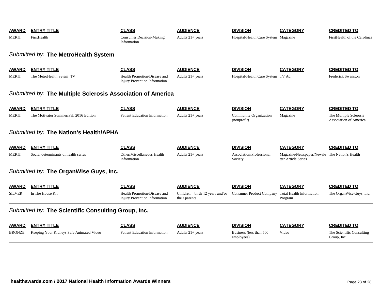| <b>AWARD</b>  | <b>ENTRY TITLE</b>                                          | <b>CLASS</b>                                                         | <b>AUDIENCE</b>                                 | <b>DIVISION</b>                              | <b>CATEGORY</b>                                                      | <b>CREDITED TO</b>                               |
|---------------|-------------------------------------------------------------|----------------------------------------------------------------------|-------------------------------------------------|----------------------------------------------|----------------------------------------------------------------------|--------------------------------------------------|
| <b>MERIT</b>  | FirstHealth                                                 | <b>Consumer Decision-Making</b><br>Information                       | Adults $21+$ years                              | Hospital/Health Care System Magazine         |                                                                      | FirstHealth of the Carolinas                     |
|               | Submitted by: The MetroHealth System                        |                                                                      |                                                 |                                              |                                                                      |                                                  |
| <b>AWARD</b>  | <b>ENTRY TITLE</b>                                          | <b>CLASS</b>                                                         | <b>AUDIENCE</b>                                 | <b>DIVISION</b>                              | <b>CATEGORY</b>                                                      | <b>CREDITED TO</b>                               |
| <b>MERIT</b>  | The MetroHealth Sytem_TV                                    | Health Promotion/Disease and<br><b>Injury Prevention Information</b> | Adults $21+$ years                              | Hospital/Health Care System TV Ad            |                                                                      | <b>Frederick Swanston</b>                        |
|               | Submitted by: The Multiple Sclerosis Association of America |                                                                      |                                                 |                                              |                                                                      |                                                  |
| <b>AWARD</b>  | <b>ENTRY TITLE</b>                                          | <b>CLASS</b>                                                         | <b>AUDIENCE</b>                                 | <b>DIVISION</b>                              | <b>CATEGORY</b>                                                      | <b>CREDITED TO</b>                               |
| <b>MERIT</b>  | The Motivator Summer/Fall 2016 Edition                      | <b>Patient Education Information</b>                                 | Adults $21+$ years                              | <b>Community Organization</b><br>(nonprofit) | Magazine                                                             | The Multiple Sclerosis<br>Association of America |
|               | Submitted by: The Nation's Health/APHA                      |                                                                      |                                                 |                                              |                                                                      |                                                  |
| <b>AWARD</b>  | <b>ENTRY TITLE</b>                                          | <b>CLASS</b>                                                         | <b>AUDIENCE</b>                                 | <b>DIVISION</b>                              | <b>CATEGORY</b>                                                      | <b>CREDITED TO</b>                               |
| <b>MERIT</b>  | Social determinants of health series                        | Other/Miscellaneous Health<br>Information                            | Adults $21+$ years                              | Association/Professional<br>Society          | Magazine/Newspaper/Newsle The Nation's Health<br>tter Article Series |                                                  |
|               | Submitted by: The OrganWise Guys, Inc.                      |                                                                      |                                                 |                                              |                                                                      |                                                  |
| <b>AWARD</b>  | <b>ENTRY TITLE</b>                                          | <b>CLASS</b>                                                         | <b>AUDIENCE</b>                                 | <b>DIVISION</b>                              | <b>CATEGORY</b>                                                      | <b>CREDITED TO</b>                               |
| <b>SILVER</b> | In The House Kit                                            | Health Promotion/Disease and<br><b>Injury Prevention Information</b> | Children—birth-12 years and/or<br>their parents | <b>Consumer Product Company</b>              | <b>Total Health Information</b><br>Program                           | The OrganWise Guys, Inc.                         |
|               | Submitted by: The Scientific Consulting Group, Inc.         |                                                                      |                                                 |                                              |                                                                      |                                                  |
| <b>AWARD</b>  | <b>ENTRY TITLE</b>                                          | <b>CLASS</b>                                                         | <b>AUDIENCE</b>                                 | <b>DIVISION</b>                              | <b>CATEGORY</b>                                                      | <b>CREDITED TO</b>                               |
| <b>BRONZE</b> | Keeping Your Kidneys Safe Animated Video                    | <b>Patient Education Information</b>                                 | Adults $21+$ years                              | Business (less than 500)<br>employees)       | Video                                                                | The Scientific Consulting<br>Group, Inc.         |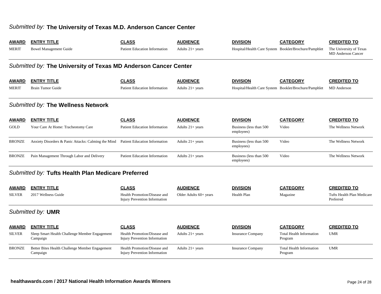### *Submitted by:* **The University of Texas M.D. Anderson Cancer Center**

| <b>AWARD</b>  | <b>ENTRY TITLE</b>                                              | <b>CLASS</b>                                                         | <b>AUDIENCE</b>          | <b>DIVISION</b>                        | <b>CATEGORY</b>                                       | <b>CREDITED TO</b>                                   |  |  |  |  |
|---------------|-----------------------------------------------------------------|----------------------------------------------------------------------|--------------------------|----------------------------------------|-------------------------------------------------------|------------------------------------------------------|--|--|--|--|
| <b>MERIT</b>  | <b>Bowel Management Guide</b>                                   | Patient Education Information                                        | Adults $21+$ years       |                                        | Hospital/Health Care System Booklet/Brochure/Pamphlet | The University of Texas<br><b>MD</b> Anderson Cancer |  |  |  |  |
|               | Submitted by: The University of Texas MD Anderson Cancer Center |                                                                      |                          |                                        |                                                       |                                                      |  |  |  |  |
| <b>AWARD</b>  | <b>ENTRY TITLE</b>                                              | <b>CLASS</b>                                                         | <b>AUDIENCE</b>          | <b>DIVISION</b>                        | <b>CATEGORY</b>                                       | <b>CREDITED TO</b>                                   |  |  |  |  |
| <b>MERIT</b>  | <b>Brain Tumor Guide</b>                                        | <b>Patient Education Information</b>                                 | Adults $21+$ years       |                                        | Hospital/Health Care System Booklet/Brochure/Pamphlet | <b>MD</b> Anderson                                   |  |  |  |  |
|               | Submitted by: The Wellness Network                              |                                                                      |                          |                                        |                                                       |                                                      |  |  |  |  |
| <b>AWARD</b>  | <b>ENTRY TITLE</b>                                              | <b>CLASS</b>                                                         | <b>AUDIENCE</b>          | <b>DIVISION</b>                        | <b>CATEGORY</b>                                       | <b>CREDITED TO</b>                                   |  |  |  |  |
| <b>GOLD</b>   | Your Care At Home: Tracheotomy Care                             | <b>Patient Education Information</b>                                 | Adults $21+ years$       | Business (less than 500<br>employees)  | Video                                                 | The Wellness Network                                 |  |  |  |  |
| <b>BRONZE</b> | Anxiety Disorders & Panic Attacks: Calming the Mind             | <b>Patient Education Information</b>                                 | Adults $21+$ years       | Business (less than 500)<br>employees) | Video                                                 | The Wellness Network                                 |  |  |  |  |
| <b>BRONZE</b> | Pain Management Through Labor and Delivery                      | <b>Patient Education Information</b>                                 | Adults $21+ years$       | Business (less than 500<br>employees)  | Video                                                 | The Wellness Network                                 |  |  |  |  |
|               | Submitted by: Tufts Health Plan Medicare Preferred              |                                                                      |                          |                                        |                                                       |                                                      |  |  |  |  |
| <b>AWARD</b>  | <b>ENTRY TITLE</b>                                              | <b>CLASS</b>                                                         | <b>AUDIENCE</b>          | <b>DIVISION</b>                        | <b>CATEGORY</b>                                       | <b>CREDITED TO</b>                                   |  |  |  |  |
| <b>SILVER</b> | 2017 Wellness Guide                                             | Health Promotion/Disease and<br>Injury Prevention Information        | Older Adults $60+$ years | Health Plan                            | Magazine                                              | Tufts Health Plan Medicare<br>Preferred              |  |  |  |  |
|               | Submitted by: <b>UMR</b>                                        |                                                                      |                          |                                        |                                                       |                                                      |  |  |  |  |
| <b>AWARD</b>  | <b>ENTRY TITLE</b>                                              | <b>CLASS</b>                                                         | <b>AUDIENCE</b>          | <b>DIVISION</b>                        | <b>CATEGORY</b>                                       | <b>CREDITED TO</b>                                   |  |  |  |  |
| <b>SILVER</b> | Sleep Smart Health Challenge Member Engagement<br>Campaign      | Health Promotion/Disease and<br><b>Injury Prevention Information</b> | Adults $21+ years$       | <b>Insurance Company</b>               | <b>Total Health Information</b><br>Program            | <b>UMR</b>                                           |  |  |  |  |
| <b>BRONZE</b> | Better Bites Health Challenge Member Engagement<br>Campaign     | Health Promotion/Disease and<br>Injury Prevention Information        | Adults $21+$ years       | <b>Insurance Company</b>               | <b>Total Health Information</b><br>Program            | <b>UMR</b>                                           |  |  |  |  |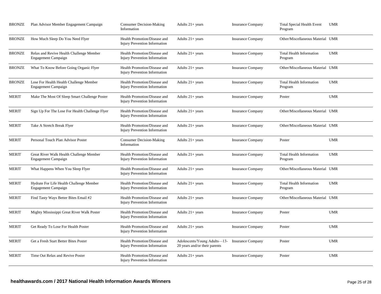| BRONZE        | Plan Advisor Member Engagement Campaign                                | <b>Consumer Decision-Making</b><br>Information                       | Adults $21+$ years                                                              | <b>Insurance Company</b> | <b>Total Special Health Event</b><br>Program | <b>UMR</b> |
|---------------|------------------------------------------------------------------------|----------------------------------------------------------------------|---------------------------------------------------------------------------------|--------------------------|----------------------------------------------|------------|
| <b>BRONZE</b> | How Much Sleep Do You Need Flyer                                       | Health Promotion/Disease and<br><b>Injury Prevention Information</b> | Adults $21+$ years                                                              | <b>Insurance Company</b> | Other/Miscellaneous Material UMR             |            |
| BRONZE        | Relax and Revive Health Challenge Member<br>Engagement Campaign        | Health Promotion/Disease and<br>Injury Prevention Information        | Adults $21+$ years                                                              | <b>Insurance Company</b> | <b>Total Health Information</b><br>Program   | <b>UMR</b> |
| BRONZE        | What To Know Before Going Organic Flyer                                | Health Promotion/Disease and<br><b>Injury Prevention Information</b> | Adults $21+$ years                                                              | <b>Insurance Company</b> | Other/Miscellaneous Material UMR             |            |
| BRONZE        | Lose For Health Health Challenge Member<br>Engagement Campaign         | Health Promotion/Disease and<br><b>Injury Prevention Information</b> | Adults $21+$ years                                                              | <b>Insurance Company</b> | <b>Total Health Information</b><br>Program   | <b>UMR</b> |
| MERIT         | Make The Most Of Sleep Smart Challenge Poster                          | Health Promotion/Disease and<br><b>Injury Prevention Information</b> | Adults $21+$ years                                                              | <b>Insurance Company</b> | Poster                                       | <b>UMR</b> |
| MERIT         | Sign Up For The Lose For Health Challenge Flyer                        | Health Promotion/Disease and<br><b>Injury Prevention Information</b> | Adults $21+$ years                                                              | <b>Insurance Company</b> | Other/Miscellaneous Material UMR             |            |
| MERIT         | Take A Stretch Break Flyer                                             | Health Promotion/Disease and<br><b>Injury Prevention Information</b> | Adults 21+ years                                                                | <b>Insurance Company</b> | Other/Miscellaneous Material UMR             |            |
| <b>MERIT</b>  | Personal Touch Plan Advisor Poster                                     | <b>Consumer Decision-Making</b><br>Information                       | Adults $21+$ years                                                              | <b>Insurance Company</b> | Poster                                       | <b>UMR</b> |
| MERIT         | Great River Walk Health Challenge Member<br>Engagement Campaign        | Health Promotion/Disease and<br><b>Injury Prevention Information</b> | Adults $21+ years$                                                              | <b>Insurance Company</b> | <b>Total Health Information</b><br>Program   | <b>UMR</b> |
| <b>MERIT</b>  | What Happens When You Sleep Flyer                                      | Health Promotion/Disease and<br>Injury Prevention Information        | Adults $21+ years$                                                              | <b>Insurance Company</b> | Other/Miscellaneous Material UMR             |            |
| <b>MERIT</b>  | Hydrate For Life Health Challenge Member<br><b>Engagement Campaign</b> | Health Promotion/Disease and<br><b>Injury Prevention Information</b> | Adults $21+$ years                                                              | <b>Insurance Company</b> | <b>Total Health Information</b><br>Program   | <b>UMR</b> |
| MERIT         | Find Tasty Ways Better Bites Email #2                                  | Health Promotion/Disease and<br><b>Injury Prevention Information</b> | Adults 21+ years                                                                | <b>Insurance Company</b> | Other/Miscellaneous Material UMR             |            |
| MERIT         | Mighty Mississippi Great River Walk Poster                             | Health Promotion/Disease and<br>Injury Prevention Information        | Adults 21+ years                                                                | <b>Insurance Company</b> | Poster                                       | <b>UMR</b> |
| MERIT         | Get Ready To Lose For Health Poster                                    | Health Promotion/Disease and<br>Injury Prevention Information        | Adults $21+ years$                                                              | <b>Insurance Company</b> | Poster                                       | <b>UMR</b> |
| <b>MERIT</b>  | Get a Fresh Start Better Bites Poster                                  | Health Promotion/Disease and<br><b>Injury Prevention Information</b> | Adolescents/Young Adults—13- Insurance Company<br>20 years and/or their parents |                          | Poster                                       | <b>UMR</b> |
| <b>MERIT</b>  | Time Out Relax and Revive Poster                                       | Health Promotion/Disease and<br><b>Injury Prevention Information</b> | Adults $21+$ years                                                              | <b>Insurance Company</b> | Poster                                       | <b>UMR</b> |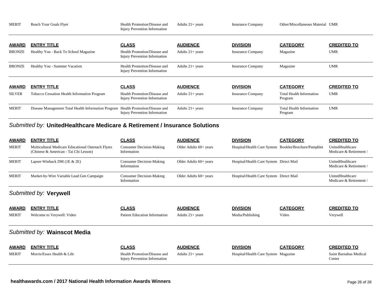| <b>MERIT</b>  | Reach Your Goals Flyer                                                           | Health Promotion/Disease and<br><b>Injury Prevention Information</b> | Adults $21+$ years | <b>Insurance Company</b> | Other/Miscellaneous Material UMR           |                    |
|---------------|----------------------------------------------------------------------------------|----------------------------------------------------------------------|--------------------|--------------------------|--------------------------------------------|--------------------|
| <b>AWARD</b>  | <b>ENTRY TITLE</b>                                                               | <b>CLASS</b>                                                         | <b>AUDIENCE</b>    | <b>DIVISION</b>          | <b>CATEGORY</b>                            | <b>CREDITED TO</b> |
| <b>BRONZE</b> | Healthy You - Back To School Magazine                                            | Health Promotion/Disease and<br>Injury Prevention Information        | Adults $21+$ years | <b>Insurance Company</b> | Magazine                                   | <b>UMR</b>         |
| <b>BRONZE</b> | Healthy You - Summer Vacation                                                    | Health Promotion/Disease and<br>Injury Prevention Information        | Adults $21+$ years | <b>Insurance Company</b> | Magazine                                   | <b>UMR</b>         |
| <b>AWARD</b>  | <b>ENTRY TITLE</b>                                                               | <b>CLASS</b>                                                         | <b>AUDIENCE</b>    | <b>DIVISION</b>          | <b>CATEGORY</b>                            | <b>CREDITED TO</b> |
| <b>SILVER</b> | Tobacco Cessation Health Information Program                                     | Health Promotion/Disease and<br>Injury Prevention Information        | Adults $21+$ years | <b>Insurance Company</b> | <b>Total Health Information</b><br>Program | <b>UMR</b>         |
| <b>MERIT</b>  | Disease Management Total Health Information Program Health Promotion/Disease and | Injury Prevention Information                                        | Adults $21+$ years | <b>Insurance Company</b> | Total Health Information<br>Program        | <b>UMR</b>         |

### *Submitted by:* **UnitedHealthcare Medicare & Retirement / Insurance Solutions**

| <b>AWARD</b> | <b>ENTRY TITLE</b>                                                                          | <b>CLASS</b>                                   | <b>AUDIENCE</b>          | <b>DIVISION</b>                                       | <b>CATEGORY</b> | <b>CREDITED TO</b>                          |
|--------------|---------------------------------------------------------------------------------------------|------------------------------------------------|--------------------------|-------------------------------------------------------|-----------------|---------------------------------------------|
| <b>MERIT</b> | Multicultural Medicare Educational Outreach Flyers<br>(Chinese & American - Tai Chi Lesson) | Consumer Decision-Making<br>Information        | Older Adults $60+$ years | Hospital/Health Care System Booklet/Brochure/Pamphlet |                 | UnitedHealthcare<br>Medicare & Retirement / |
| <b>MERIT</b> | Lapser-Winback DM $(1E \& 2E)$                                                              | <b>Consumer Decision-Making</b><br>Information | Older Adults $60+$ years | Hospital/Health Care System Direct Mail               |                 | UnitedHealthcare<br>Medicare & Retirement / |
| <b>MERIT</b> | Market-by-Wire Variable Lead Gen Campaign                                                   | <b>Consumer Decision-Making</b><br>Information | Older Adults $60+$ years | Hospital/Health Care System Direct Mail               |                 | UnitedHealthcare<br>Medicare & Retirement / |

### *Submitted by:* **Verywell**

| <b>AWARD</b> | <b>ENTRY TITLE</b>           | <b>CLASS</b>                                                  | <b>AUDIENCE</b>    | <b>DIVISION</b>                      | <b>CATEGORY</b> | <b>CREDITED TO</b>               |
|--------------|------------------------------|---------------------------------------------------------------|--------------------|--------------------------------------|-----------------|----------------------------------|
| <b>MERIT</b> | Welcome to Verywell: Video   | <b>Patient Education Information</b>                          | Adults $21+$ years | Media/Publishing                     | Video           | Verywell                         |
|              |                              |                                                               |                    |                                      |                 |                                  |
|              | Submitted by: Wainscot Media |                                                               |                    |                                      |                 |                                  |
| <b>AWARD</b> | <b>ENTRY TITLE</b>           | <b>CLASS</b>                                                  | <b>AUDIENCE</b>    | <b>DIVISION</b>                      | <b>CATEGORY</b> | <b>CREDITED TO</b>               |
| <b>MERIT</b> | Morris/Essex Health & Life   | Health Promotion/Disease and<br>Injury Prevention Information | Adults $21+$ years | Hospital/Health Care System Magazine |                 | Saint Barnabas Medical<br>Center |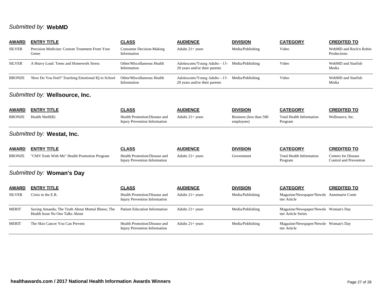## *Submitted by:* **WebMD**

| <b>AWARD</b>  | <b>ENTRY TITLE</b>                                                                    | <b>CLASS</b>                                                         | <b>AUDIENCE</b>                                                                | <b>DIVISION</b>                       | <b>CATEGORY</b>                                              | <b>CREDITED TO</b>                                   |
|---------------|---------------------------------------------------------------------------------------|----------------------------------------------------------------------|--------------------------------------------------------------------------------|---------------------------------------|--------------------------------------------------------------|------------------------------------------------------|
| <b>SILVER</b> | Precision Medicine: Custom Treatment From Your<br>Genes                               | <b>Consumer Decision-Making</b><br>Information                       | Adults $21+$ years                                                             | Media/Publishing                      | Video                                                        | WebMD and Rock'n Robin<br>Productions                |
| <b>SILVER</b> | A Heavy Load: Teens and Homework Stress                                               | Other/Miscellaneous Health<br>Information                            | Adolescents/Young Adults—13- Media/Publishing<br>20 years and/or their parents |                                       | Video                                                        | WebMD and Starfish<br>Media                          |
| <b>BRONZE</b> | 'How Do You Feel?' Teaching Emotional IQ in School                                    | Other/Miscellaneous Health<br>Information                            | Adolescents/Young Adults—13- Media/Publishing<br>20 years and/or their parents |                                       | Video                                                        | WebMD and Starfish<br>Media                          |
|               | Submitted by: Wellsource, Inc.                                                        |                                                                      |                                                                                |                                       |                                                              |                                                      |
| <b>AWARD</b>  | <b>ENTRY TITLE</b>                                                                    | <b>CLASS</b>                                                         | <b>AUDIENCE</b>                                                                | <b>DIVISION</b>                       | <b>CATEGORY</b>                                              | <b>CREDITED TO</b>                                   |
| <b>BRONZE</b> | Health $Shelf(R)$                                                                     | Health Promotion/Disease and<br><b>Injury Prevention Information</b> | Adults 21+ years                                                               | Business (less than 500<br>employees) | <b>Total Health Information</b><br>Program                   | Wellsource, Inc.                                     |
|               | Submitted by: Westat, Inc.                                                            |                                                                      |                                                                                |                                       |                                                              |                                                      |
| <b>AWARD</b>  | <b>ENTRY TITLE</b>                                                                    | <b>CLASS</b>                                                         | <b>AUDIENCE</b>                                                                | <b>DIVISION</b>                       | <b>CATEGORY</b>                                              | <b>CREDITED TO</b>                                   |
| <b>BRONZE</b> | "CMV Ends With Me" Health Promotion Program                                           | Health Promotion/Disease and<br><b>Injury Prevention Information</b> | Adults $21+$ years                                                             | Government                            | <b>Total Health Information</b><br>Program                   | <b>Centers for Disease</b><br>Control and Prevention |
|               | Submitted by: Woman's Day                                                             |                                                                      |                                                                                |                                       |                                                              |                                                      |
| <b>AWARD</b>  | <b>ENTRY TITLE</b>                                                                    | <b>CLASS</b>                                                         | <b>AUDIENCE</b>                                                                | <b>DIVISION</b>                       | <b>CATEGORY</b>                                              | <b>CREDITED TO</b>                                   |
| <b>SILVER</b> | Crisis in the E.R.                                                                    | Health Promotion/Disease and<br><b>Injury Prevention Information</b> | Adults $21+$ years                                                             | Media/Publishing                      | Magazine/Newspaper/Newsle Annemarie Conte<br>tter Article    |                                                      |
| <b>MERIT</b>  | Saving Amanda; The Truth About Mental Illness; The<br>Health Issue No One Talks About | <b>Patient Education Information</b>                                 | Adults $21+$ years                                                             | Media/Publishing                      | Magazine/Newspaper/Newsle Woman's Day<br>tter Article Series |                                                      |
| <b>MERIT</b>  | The Skin Cancer You Can Prevent                                                       | Health Promotion/Disease and<br>Injury Prevention Information        | Adults $21+$ years                                                             | Media/Publishing                      | Magazine/Newspaper/Newsle Woman's Day<br>tter Article        |                                                      |